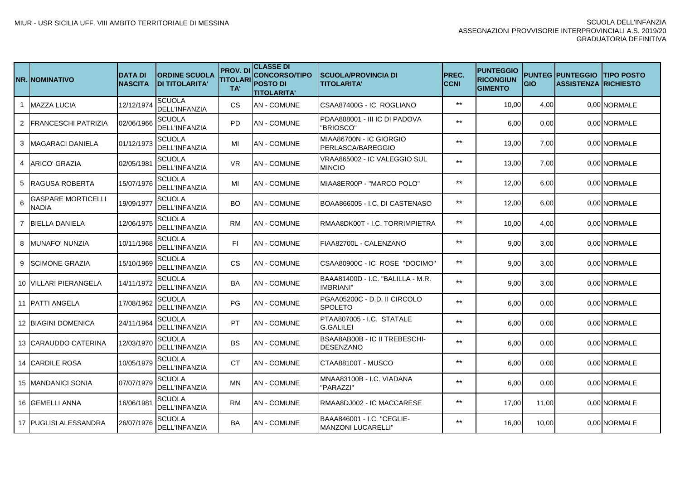|              | <b>NR.INOMINATIVO</b>       | <b>DATA DI</b><br><b>NASCITA</b> | <b>ORDINE SCUOLA</b><br><b>DI TITOLARITA'</b> | <b>PROV.DI</b><br><b>TITOLARI</b><br>TA' | <b>CLASSE DI</b><br><b>CONCORSO/TIPO</b><br><b>POSTO DI</b><br><b>TITOLARITA'</b> | <b>SCUOLA/PROVINCIA DI</b><br><b>TITOLARITA'</b>       | <b>PREC.</b><br><b>CCNI</b> | <b>PUNTEGGIO</b><br><b>RICONGIUN</b><br><b>GIMENTO</b> | <b>GIO</b> | <b>PUNTEG PUNTEGGIO</b><br><b>ASSISTENZA RICHIESTO</b> | <b>TIPO POSTO</b> |
|--------------|-----------------------------|----------------------------------|-----------------------------------------------|------------------------------------------|-----------------------------------------------------------------------------------|--------------------------------------------------------|-----------------------------|--------------------------------------------------------|------------|--------------------------------------------------------|-------------------|
| $\mathbf{1}$ | <b>MAZZA LUCIA</b>          | 12/12/1974                       | <b>SCUOLA</b><br><b>DELL'INFANZIA</b>         | CS                                       | <b>AN - COMUNE</b>                                                                | CSAA87400G - IC ROGLIANO                               | $***$                       | 10,00                                                  | 4,00       |                                                        | 0.00 NORMALE      |
| 2            | <b>IFRANCESCHI PATRIZIA</b> | 02/06/1966                       | <b>SCUOLA</b><br><b>DELL'INFANZIA</b>         | <b>PD</b>                                | <b>AN - COMUNE</b>                                                                | PDAA888001 - III IC DI PADOVA<br>"BRIOSCO"             | $***$                       | 6,00                                                   | 0,00       |                                                        | 0.00 NORMALE      |
| 3            | MAGARACI DANIELA            | 01/12/1973                       | <b>SCUOLA</b><br><b>DELL'INFANZIA</b>         | MI                                       | <b>AN - COMUNE</b>                                                                | MIAA86700N - IC GIORGIO<br>PERLASCA/BAREGGIO           | $***$                       | 13,00                                                  | 7,00       |                                                        | 0.00 NORMALE      |
| 4            | ARICO' GRAZIA               | 02/05/1981                       | SCUOLA<br><b>DELL'INFANZIA</b>                | <b>VR</b>                                | <b>AN - COMUNE</b>                                                                | VRAA865002 - IC VALEGGIO SUL<br><b>MINCIO</b>          | $***$                       | 13,00                                                  | 7,00       |                                                        | 0.00 NORMALE      |
| 5            | <b>IRAGUSA ROBERTA</b>      | 15/07/1976                       | <b>SCUOLA</b><br><b>DELL'INFANZIA</b>         | MI                                       | <b>AN - COMUNE</b>                                                                | MIAA8ER00P - "MARCO POLO"                              | $***$                       | 12,00                                                  | 6,00       |                                                        | 0,00 NORMALE      |
| 6            | GASPARE MORTICELLI<br>NADIA | 19/09/1977                       | <b>SCUOLA</b><br><b>DELL'INFANZIA</b>         | BO.                                      | AN - COMUNE                                                                       | BOAA866005 - I.C. DI CASTENASO                         | $***$                       | 12,00                                                  | 6,00       |                                                        | 0.00 NORMALE      |
| 7            | <b>BIELLA DANIELA</b>       | 12/06/1975                       | SCUOLA<br><b>DELL'INFANZIA</b>                | <b>RM</b>                                | AN - COMUNE                                                                       | RMAA8DK00T - I.C. TORRIMPIETRA                         | $***$                       | 10,00                                                  | 4,00       |                                                        | 0.00 NORMALE      |
| 8            | <b>IMUNAFO' NUNZIA</b>      | 10/11/1968                       | <b>SCUOLA</b><br><b>DELL'INFANZIA</b>         | FI.                                      | <b>AN - COMUNE</b>                                                                | FIAA82700L - CALENZANO                                 | $***$                       | 9,00                                                   | 3,00       |                                                        | 0,00 NORMALE      |
| 9            | <b>SCIMONE GRAZIA</b>       | 15/10/1969                       | <b>SCUOLA</b><br><b>DELL'INFANZIA</b>         | CS                                       | <b>AN - COMUNE</b>                                                                | CSAA80900C - IC ROSE "DOCIMO"                          | $***$                       | 9,00                                                   | 3,00       |                                                        | 0,00 NORMALE      |
|              | 10 VILLARI PIERANGELA       | 14/11/1972                       | <b>SCUOLA</b><br><b>DELL'INFANZIA</b>         | BA                                       | <b>AN - COMUNE</b>                                                                | BAAA81400D - I.C. "BALILLA - M.R.<br><b>IMBRIANI</b> " | $***$                       | 9,00                                                   | 3,00       |                                                        | 0.00 NORMALE      |
|              | 11 <b>IPATTI ANGELA</b>     | 17/08/1962                       | <b>SCUOLA</b><br><b>DELL'INFANZIA</b>         | PG                                       | <b>AN - COMUNE</b>                                                                | PGAA05200C - D.D. II CIRCOLO<br><b>SPOLETO</b>         | $***$                       | 6,00                                                   | 0,00       |                                                        | 0.00 NORMALE      |
|              | <b>12 BIAGINI DOMENICA</b>  | 24/11/1964                       | <b>SCUOLA</b><br><b>DELL'INFANZIA</b>         | PT                                       | AN - COMUNE                                                                       | PTAA807005 - I.C. STATALE<br><b>G.GALILEI</b>          | $***$                       | 6,00                                                   | 0,00       |                                                        | 0,00 NORMALE      |
|              | 13 CARAUDDO CATERINA        | 12/03/1970                       | <b>SCUOLA</b><br><b>DELL'INFANZIA</b>         | <b>BS</b>                                | <b>AN - COMUNE</b>                                                                | BSAA8AB00B - IC II TREBESCHI-<br><b>DESENZANO</b>      | $**$                        | 6,00                                                   | 0,00       |                                                        | 0,00 NORMALE      |
|              | 14 CARDILE ROSA             | 10/05/1979                       | <b>SCUOLA</b><br><b>DELL'INFANZIA</b>         | CT                                       | <b>AN - COMUNE</b>                                                                | CTAA88100T - MUSCO                                     | $***$                       | 6,00                                                   | 0,00       |                                                        | 0,00 NORMALE      |
|              | <b>15 IMANDANICI SONIA</b>  | 07/07/1979                       | <b>SCUOLA</b><br><b>DELL'INFANZIA</b>         | ΜN                                       | <b>AN - COMUNE</b>                                                                | MNAA83100B - I.C. VIADANA<br>"PARAZZI'                 | $***$                       | 6,00                                                   | 0,00       |                                                        | 0.00 NORMALE      |
|              | 16 <b>IGEMELLI ANNA</b>     | 16/06/1981                       | <b>SCUOLA</b><br><b>DELL'INFANZIA</b>         | <b>RM</b>                                | <b>AN - COMUNE</b>                                                                | RMAA8DJ002 - IC MACCARESE                              | $***$                       | 17,00                                                  | 11,00      |                                                        | 0.00 NORMALE      |
|              | 17 PUGLISI ALESSANDRA       | 26/07/1976                       | <b>SCUOLA</b><br><b>DELL'INFANZIA</b>         | BA                                       | <b>AN - COMUNE</b>                                                                | BAAA846001 - I.C. "CEGLIE-<br>MANZONI LUCARELLI"       | $***$                       | 16,00                                                  | 10,00      |                                                        | 0,00 NORMALE      |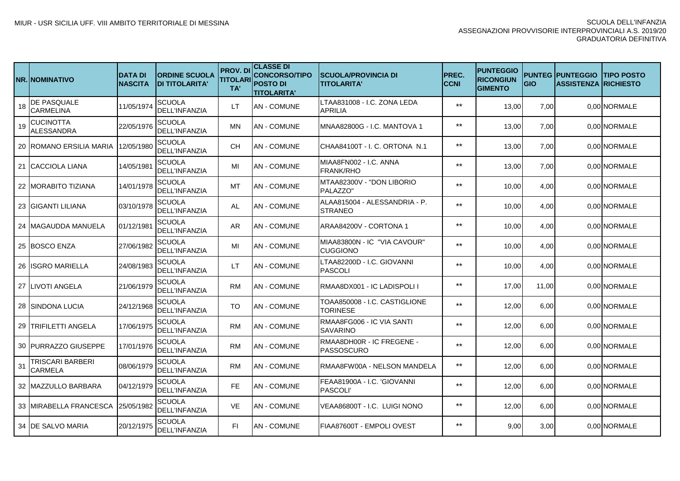|    | NR.INOMINATIVO                         | <b>DATA DI</b><br><b>NASCITA</b> | <b>ORDINE SCUOLA</b><br><b>DI TITOLARITA'</b> | <b>PROV. DI</b><br><b>TITOLARI</b><br>TA' | <b>CLASSE DI</b><br><b>CONCORSO/TIPO</b><br><b>POSTO DI</b><br><b>TITOLARITA'</b> | <b>SCUOLA/PROVINCIA DI</b><br><b>TITOLARITA'</b> | PREC.<br><b>CCNI</b> | <b>PUNTEGGIO</b><br><b>RICONGIUN</b><br><b>GIMENTO</b> | GIO   | <b>PUNTEG IPUNTEGGIO</b><br><b>ASSISTENZA RICHIESTO</b> | <b>ITIPO POSTO</b> |
|----|----------------------------------------|----------------------------------|-----------------------------------------------|-------------------------------------------|-----------------------------------------------------------------------------------|--------------------------------------------------|----------------------|--------------------------------------------------------|-------|---------------------------------------------------------|--------------------|
| 18 | <b>DE PASQUALE</b><br><b>CARMELINA</b> | 11/05/1974                       | SCUOLA<br><b>DELL'INFANZIA</b>                | LТ                                        | <b>AN - COMUNE</b>                                                                | LTAA831008 - I.C. ZONA LEDA<br><b>APRILIA</b>    | $***$                | 13,00                                                  | 7,00  |                                                         | 0.00 NORMALE       |
| 19 | <b>CUCINOTTA</b><br>ALESSANDRA         | 22/05/1976                       | SCUOLA<br><b>DELL'INFANZIA</b>                | ΜN                                        | AN - COMUNE                                                                       | MNAA82800G - I.C. MANTOVA 1                      | $***$                | 13,00                                                  | 7,00  |                                                         | 0.00 NORMALE       |
|    | 20 IROMANO ERSILIA MARIA               | 12/05/1980                       | SCUOLA<br><b>DELL'INFANZIA</b>                | <b>CH</b>                                 | AN - COMUNE                                                                       | ICHAA84100T - I. C. ORTONA N.1                   | $***$                | 13,00                                                  | 7,00  |                                                         | 0.00 NORMALE       |
|    | 21 ICACCIOLA LIANA                     | 14/05/1981                       | SCUOLA<br><b>DELL'INFANZIA</b>                | MI                                        | AN - COMUNE                                                                       | MIAA8FN002 - I.C. ANNA<br><b>FRANK/RHO</b>       | $***$                | 13,00                                                  | 7,00  |                                                         | 0.00 NORMALE       |
|    | 22 IMORABITO TIZIANA                   | 14/01/1978                       | SCUOLA<br><b>DELL'INFANZIA</b>                | MT                                        | AN - COMUNE                                                                       | MTAA82300V - "DON LIBORIO<br>PALAZZO"            | $***$                | 10,00                                                  | 4,00  |                                                         | 0,00 NORMALE       |
|    | <b>23 IGIGANTI LILIANA</b>             | 03/10/1978                       | SCUOLA<br><b>DELL'INFANZIA</b>                | AL                                        | AN - COMUNE                                                                       | ALAA815004 - ALESSANDRIA - P.<br><b>ISTRANEO</b> | $***$                | 10,00                                                  | 4,00  |                                                         | 0.00 NORMALE       |
|    | 24 IMAGAUDDA MANUELA                   | 01/12/1981                       | SCUOLA<br><b>DELL'INFANZIA</b>                | AR.                                       | AN - COMUNE                                                                       | ARAA84200V - CORTONA 1                           | $***$                | 10,00                                                  | 4,00  |                                                         | 0.00 NORMALE       |
|    | 25 IBOSCO ENZA                         | 27/06/1982                       | SCUOLA<br><b>DELL'INFANZIA</b>                | MI                                        | <b>AN - COMUNE</b>                                                                | MIAA83800N - IC "VIA CAVOUR"<br><b>CUGGIONO</b>  | $***$                | 10,00                                                  | 4,00  |                                                         | 0.00 NORMALE       |
|    | 26 IISGRO MARIELLA                     | 24/08/1983                       | SCUOLA<br><b>DELL'INFANZIA</b>                | LТ                                        | AN - COMUNE                                                                       | LTAA82200D - I.C. GIOVANNI<br><b>PASCOLI</b>     | $***$                | 10,00                                                  | 4,00  |                                                         | 0.00 NORMALE       |
|    | <b>27 ILIVOTI ANGELA</b>               | 21/06/1979                       | SCUOLA<br><b>DELL'INFANZIA</b>                | RM                                        | AN - COMUNE                                                                       | IRMAA8DX001 - IC LADISPOLI I                     | $***$                | 17.00                                                  | 11.00 |                                                         | 0.00 NORMALE       |
|    | 28 ISINDONA LUCIA                      | 24/12/1968                       | SCUOLA<br><b>DELL'INFANZIA</b>                | TO                                        | AN - COMUNE                                                                       | TOAA850008 - I.C. CASTIGLIONE<br>TORINESE        | $**$                 | 12,00                                                  | 6,00  |                                                         | 0.00 NORMALE       |
|    | 29 TRIFILETTI ANGELA                   | 17/06/1975                       | SCUOLA<br><b>DELL'INFANZIA</b>                | <b>RM</b>                                 | AN - COMUNE                                                                       | RMAA8FG006 - IC VIA SANTI<br><b>ISAVARINO</b>    | $***$                | 12,00                                                  | 6,00  |                                                         | 0.00 NORMALE       |
|    | 30 IPURRAZZO GIUSEPPE                  | 17/01/1976                       | <b>SCUOLA</b><br><b>DELL'INFANZIA</b>         | <b>RM</b>                                 | AN - COMUNE                                                                       | RMAA8DH00R - IC FREGENE -<br>PASSOSCURO          | $**$                 | 12,00                                                  | 6,00  |                                                         | 0.00 NORMALE       |
| 31 | TRISCARI BARBERI<br><b>CARMELA</b>     | 08/06/1979                       | SCUOLA<br><b>DELL'INFANZIA</b>                | RM.                                       | AN - COMUNE                                                                       | IRMAA8FW00A - NELSON MANDELA                     | $***$                | 12,00                                                  | 6,00  |                                                         | 0.00 NORMALE       |
|    | 32 IMAZZULLO BARBARA                   | 04/12/1979                       | SCUOLA<br><b>DELL'INFANZIA</b>                | <b>FE</b>                                 | AN - COMUNE                                                                       | FEAA81900A - I.C. 'GIOVANNI<br><b>PASCOLI</b>    | $***$                | 12,00                                                  | 6,00  |                                                         | 0.00 NORMALE       |
|    | 33   MIRABELLA FRANCESCA               | 25/05/1982                       | <b>SCUOLA</b><br><b>DELL'INFANZIA</b>         | <b>VE</b>                                 | AN - COMUNE                                                                       | VEAA86800T - I.C. LUIGI NONO                     | $***$                | 12,00                                                  | 6,00  |                                                         | 0.00 NORMALE       |
|    | 34 IDE SALVO MARIA                     | 20/12/1975                       | SCUOLA<br><b>DELL'INFANZIA</b>                | FI.                                       | AN - COMUNE                                                                       | IFIAA87600T - EMPOLI OVEST                       | $***$                | 9,00                                                   | 3,00  |                                                         | 0.00 NORMALE       |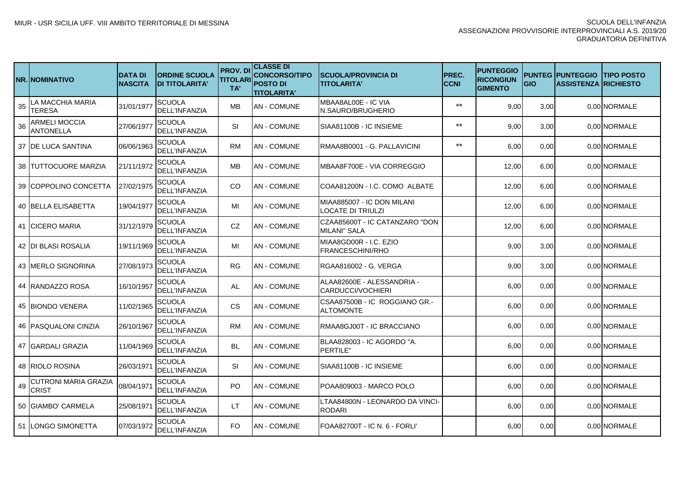|    | NR.INOMINATIVO                              | <b>DATA DI</b><br><b>NASCITA</b> | <b>ORDINE SCUOLA</b><br><b>DI TITOLARITA'</b> | <b>PROV.DI</b><br><b>TITOLARI</b><br>TA' | <b>CLASSE DI</b><br><b>CONCORSO/TIPO</b><br><b>POSTO DI</b><br><b>TITOLARITA'</b> | <b>SCUOLA/PROVINCIA DI</b><br><b>TITOLARITA'</b>  | <b>PREC.</b><br><b>CCNI</b> | <b>PUNTEGGIO</b><br><b>RICONGIUN</b><br><b>GIMENTO</b> | <b>GIO</b> | <b>PUNTEG PUNTEGGIO</b><br><b>ASSISTENZA RICHIESTO</b> | <b>ITIPO POSTO</b> |
|----|---------------------------------------------|----------------------------------|-----------------------------------------------|------------------------------------------|-----------------------------------------------------------------------------------|---------------------------------------------------|-----------------------------|--------------------------------------------------------|------------|--------------------------------------------------------|--------------------|
| 35 | LA MACCHIA MARIA<br>TERESA                  | 31/01/1977                       | <b>SCUOLA</b><br><b>DELL'INFANZIA</b>         | <b>MB</b>                                | <b>AN - COMUNE</b>                                                                | MBAA8AL00E - IC VIA<br>N.SAURO/BRUGHERIO          | $***$                       | 9,00                                                   | 3,00       |                                                        | 0,00 NORMALE       |
| 36 | ARMELI MOCCIA<br>ANTONELLA                  | 27/06/1977                       | <b>SCUOLA</b><br>DELL'INFANZIA                | SI                                       | AN - COMUNE                                                                       | SIAA81100B - IC INSIEME                           | $***$                       | 9.00                                                   | 3,00       |                                                        | 0,00 NORMALE       |
|    | 37 IDE LUCA SANTINA                         | 06/06/1963                       | SCUOLA<br><b>DELL'INFANZIA</b>                | <b>RM</b>                                | AN - COMUNE                                                                       | RMAA8B0001 - G. PALLAVICINI                       | $***$                       | 6.00                                                   | 0.00       |                                                        | 0.00 NORMALE       |
|    | <b>38 ITUTTOCUORE MARZIA</b>                | 21/11/1972                       | SCUOLA<br><b>DELL'INFANZIA</b>                | <b>MB</b>                                | <b>AN - COMUNE</b>                                                                | MBAA8F700E - VIA CORREGGIO                        |                             | 12,00                                                  | 6.00       |                                                        | 0.00 NORMALE       |
|    | 39 COPPOLINO CONCETTA                       | 27/02/1975                       | SCUOLA<br><b>DELL'INFANZIA</b>                | CO.                                      | <b>AN - COMUNE</b>                                                                | COAA81200N - I.C. COMO ALBATE                     |                             | 12,00                                                  | 6,00       |                                                        | 0,00 NORMALE       |
|    | 40   BELLA ELISABETTA                       | 19/04/1977                       | SCUOLA<br>DELL'INFANZIA                       | MI                                       | <b>AN - COMUNE</b>                                                                | MIAA885007 - IC DON MILANI<br>LOCATE DI TRIULZI   |                             | 12,00                                                  | 6,00       |                                                        | 0,00 NORMALE       |
|    | 41 CICERO MARIA                             | 31/12/1979                       | SCUOLA<br>DELL'INFANZIA                       | CZ                                       | <b>AN - COMUNE</b>                                                                | CZAA85600T - IC CATANZARO "DON<br>MILANI" SALA    |                             | 12,00                                                  | 6,00       |                                                        | 0,00 NORMALE       |
|    | 42 IDI BLASI ROSALIA                        | 19/11/1969                       | SCUOLA<br><b>DELL'INFANZIA</b>                | ΜI                                       | <b>AN - COMUNE</b>                                                                | MIAA8GD00R - I.C. EZIO<br>FRANCESCHINI/RHO        |                             | 9.00                                                   | 3,00       |                                                        | 0,00 NORMALE       |
|    | 43 IMERLO SIGNORINA                         | 27/08/1973                       | SCUOLA<br><b>DELL'INFANZIA</b>                | <b>RG</b>                                | <b>AN - COMUNE</b>                                                                | RGAA816002 - G. VERGA                             |                             | 9.00                                                   | 3,00       |                                                        | 0,00 NORMALE       |
|    | 44  RANDAZZO ROSA                           | 16/10/1957                       | SCUOLA<br><b>DELL'INFANZIA</b>                | AL                                       | <b>AN - COMUNE</b>                                                                | ALAA82600E - ALESSANDRIA -<br>CARDUCCI/VOCHIERI   |                             | 6.00                                                   | 0.00       |                                                        | 0,00 NORMALE       |
|    | 45 BIONDO VENERA                            | 11/02/1965                       | SCUOLA<br>DELL'INFANZIA                       | CS.                                      | <b>AN - COMUNE</b>                                                                | CSAA87500B - IC ROGGIANO GR.-<br><b>ALTOMONTE</b> |                             | 6,00                                                   | 0,00       |                                                        | 0,00 NORMALE       |
|    | <b>46   PASQUALONI CINZIA</b>               | 26/10/1967                       | SCUOLA<br><b>DELL'INFANZIA</b>                | <b>RM</b>                                | <b>AN - COMUNE</b>                                                                | RMAA8GJ00T - IC BRACCIANO                         |                             | 6.00                                                   | 0,00       |                                                        | 0,00 NORMALE       |
|    | 47 IGARDALI GRAZIA                          | 11/04/1969                       | <b>SCUOLA</b><br>DELL'INFANZIA                | <b>BL</b>                                | <b>AN - COMUNE</b>                                                                | BLAA828003 - IC AGORDO "A.<br>PERTILE"            |                             | 6.00                                                   | 0,00       |                                                        | 0,00 NORMALE       |
|    | 48 IRIOLO ROSINA                            | 26/03/1971                       | <b>SCUOLA</b><br>DELL'INFANZIA                | SI                                       | AN - COMUNE                                                                       | SIAA81100B - IC INSIEME                           |                             | 6.00                                                   | 0.00       |                                                        | 0.00 NORMALE       |
| 49 | <b>CUTRONI MARIA GRAZIA</b><br><b>CRIST</b> | 08/04/1971                       | <b>SCUOLA</b><br><b>DELL'INFANZIA</b>         | PO.                                      | <b>AN - COMUNE</b>                                                                | POAA809003 - MARCO POLO                           |                             | 6.00                                                   | 0.00       |                                                        | 0,00 NORMALE       |
|    | 50 GIAMBO' CARMELA                          | 25/08/1971                       | <b>SCUOLA</b><br><b>DELL'INFANZIA</b>         | LT                                       | <b>AN - COMUNE</b>                                                                | LTAA84800N - LEONARDO DA VINCI-<br>RODARI         |                             | 6,00                                                   | 0,00       |                                                        | 0,00 NORMALE       |
|    | 51 LONGO SIMONETTA                          | 07/03/1972                       | SCUOLA<br><b>DELL'INFANZIA</b>                | FO.                                      | <b>AN-COMUNE</b>                                                                  | FOAA82700T - IC N. 6 - FORLI'                     |                             | 6,00                                                   | 0,00       |                                                        | 0,00 NORMALE       |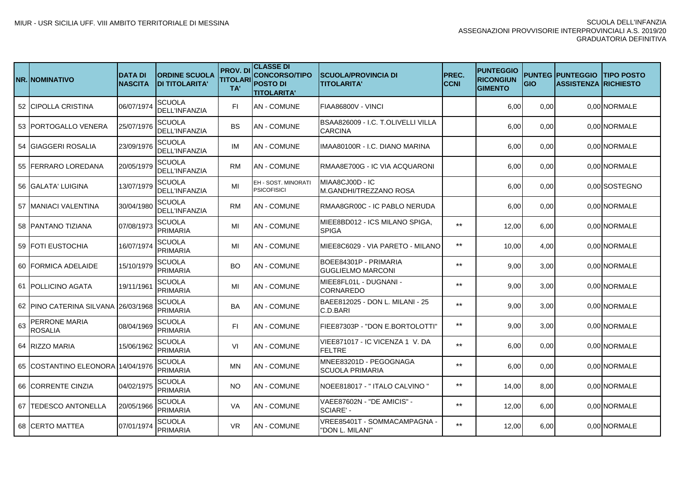|    | NR.INOMINATIVO                    | <b>DATA DI</b><br><b>NASCITA</b> | <b>ORDINE SCUOLA</b><br><b>DI TITOLARITA'</b> | <b>PROV. DI</b><br><b>TITOLARI</b><br>TA' | <b>CLASSE DI</b><br><b>CONCORSO/TIPO</b><br><b>POSTO DI</b><br><b>TITOLARITA'</b> | <b>ISCUOLA/PROVINCIA DI</b><br><b>TITOLARITA'</b>    | PREC.<br><b>CCNI</b> | <b>PUNTEGGIO</b><br><b>RICONGIUN</b><br><b>GIMENTO</b> | <b>GIO</b> | <b>PUNTEG IPUNTEGGIO</b><br><b>ASSISTENZA RICHIESTO</b> | <b>ITIPO POSTO</b> |
|----|-----------------------------------|----------------------------------|-----------------------------------------------|-------------------------------------------|-----------------------------------------------------------------------------------|------------------------------------------------------|----------------------|--------------------------------------------------------|------------|---------------------------------------------------------|--------------------|
|    | 52 CIPOLLA CRISTINA               | 06/07/1974                       | <b>SCUOLA</b><br><b>DELL'INFANZIA</b>         | FI.                                       | AN - COMUNE                                                                       | FIAA86800V - VINCI                                   |                      | 6,00                                                   | 0,00       |                                                         | 0.00 NORMALE       |
|    | 53 IPORTOGALLO VENERA             | 25/07/1976                       | SCUOLA<br><b>DELL'INFANZIA</b>                | <b>BS</b>                                 | AN - COMUNE                                                                       | BSAA826009 - I.C. T.OLIVELLI VILLA<br><b>CARCINA</b> |                      | 6,00                                                   | 0,00       |                                                         | 0.00 NORMALE       |
|    | 54 IGIAGGERI ROSALIA              | 23/09/1976                       | SCUOLA<br><b>DELL'INFANZIA</b>                | IM                                        | AN - COMUNE                                                                       | IIMAA80100R - I.C. DIANO MARINA                      |                      | 6,00                                                   | 0,00       |                                                         | 0.00 NORMALE       |
|    | 55 IFERRARO LOREDANA              | 20/05/1979                       | SCUOLA<br><b>DELL'INFANZIA</b>                | <b>RM</b>                                 | AN - COMUNE                                                                       | IRMAA8E700G - IC VIA ACQUARONI                       |                      | 6,00                                                   | 0,00       |                                                         | 0.00 NORMALE       |
|    | 56 IGALATA' LUIGINA               | 13/07/1979                       | SCUOLA<br><b>DELL'INFANZIA</b>                | MI                                        | EH - SOST, MINORATI<br><b>PSICOFISICI</b>                                         | MIAA8CJ00D - IC<br>IM.GANDHI/TREZZANO ROSA           |                      | 6,00                                                   | 0,00       |                                                         | 0.00 SOSTEGNO      |
|    | 57 IMANIACI VALENTINA             | 30/04/1980                       | SCUOLA<br><b>DELL'INFANZIA</b>                | <b>RM</b>                                 | AN - COMUNE                                                                       | IRMAA8GR00C - IC PABLO NERUDA                        |                      | 6,00                                                   | 0,00       |                                                         | 0.00 NORMALE       |
|    | 58 IPANTANO TIZIANA               | 07/08/1973                       | SCUOLA<br><b>PRIMARIA</b>                     | MI                                        | AN - COMUNE                                                                       | MIEE8BD012 - ICS MILANO SPIGA.<br><b>SPIGA</b>       | $***$                | 12,00                                                  | 6,00       |                                                         | 0.00 NORMALE       |
|    | 59 IFOTI EUSTOCHIA                | 16/07/1974                       | SCUOLA<br>PRIMARIA                            | MI                                        | AN - COMUNE                                                                       | IMIEE8C6029 - VIA PARETO - MILANO                    | $***$                | 10,00                                                  | 4,00       |                                                         | 0.00 NORMALE       |
|    | 60 FORMICA ADELAIDE               | 15/10/1979                       | SCUOLA<br>PRIMARIA                            | BO.                                       | AN - COMUNE                                                                       | BOEE84301P - PRIMARIA<br><b>GUGLIELMO MARCONI</b>    | $***$                | 9,00                                                   | 3,00       |                                                         | 0.00 NORMALE       |
|    | 61 IPOLLICINO AGATA               | 19/11/1961                       | SCUOLA<br><b>PRIMARIA</b>                     | MI                                        | AN - COMUNE                                                                       | MIEE8FL01L - DUGNANI -<br><b>CORNAREDO</b>           | $***$                | 9,00                                                   | 3,00       |                                                         | 0.00 NORMALE       |
|    | 62 IPINO CATERINA SILVANA         | 26/03/1968                       | SCUOLA<br><b>PRIMARIA</b>                     | BA                                        | AN - COMUNE                                                                       | BAEE812025 - DON L. MILANI - 25<br>C.D.BARI          | $***$                | 9,00                                                   | 3,00       |                                                         | 0.00 NORMALE       |
| 63 | PERRONE MARIA<br><b>ROSALIA</b>   | 08/04/1969                       | SCUOLA<br><b>PRIMARIA</b>                     | FI.                                       | <b>AN - COMUNE</b>                                                                | FIEE87303P - "DON E.BORTOLOTTI"                      | $***$                | 9,00                                                   | 3,00       |                                                         | 0.00 NORMALE       |
|    | 64 IRIZZO MARIA                   | 15/06/1962                       | SCUOLA<br><b>PRIMARIA</b>                     | VI                                        | AN - COMUNE                                                                       | IVIEE871017 - IC VICENZA 1 V. DA<br><b>FELTRE</b>    | $**$                 | 6.00                                                   | 0.00       |                                                         | 0.00 NORMALE       |
|    | 65 COSTANTINO ELEONORA 14/04/1976 |                                  | SCUOLA<br><b>PRIMARIA</b>                     | MN                                        | AN - COMUNE                                                                       | IMNEE83201D - PEGOGNAGA<br><b>SCUOLA PRIMARIA</b>    | $***$                | 6,00                                                   | 0,00       |                                                         | 0,00 NORMALE       |
|    | 66 CORRENTE CINZIA                | 04/02/1975                       | SCUOLA<br><b>PRIMARIA</b>                     | NO.                                       | AN - COMUNE                                                                       | INOEE818017 - " ITALO CALVINO "                      | $***$                | 14,00                                                  | 8,00       |                                                         | 0.00 NORMALE       |
|    | 67 TEDESCO ANTONELLA              | 20/05/1966                       | SCUOLA<br><b>PRIMARIA</b>                     | VA                                        | AN - COMUNE                                                                       | VAEE87602N - "DE AMICIS" -<br>SCIARE' -              | $***$                | 12,00                                                  | 6,00       |                                                         | 0.00 NORMALE       |
|    | <b>68 ICERTO MATTEA</b>           | 07/01/1974                       | SCUOLA<br>PRIMARIA                            | <b>VR</b>                                 | AN - COMUNE                                                                       | VREE85401T - SOMMACAMPAGNA -<br>'DON L. MILANI"      | $**$                 | 12,00                                                  | 6,00       |                                                         | 0.00 NORMALE       |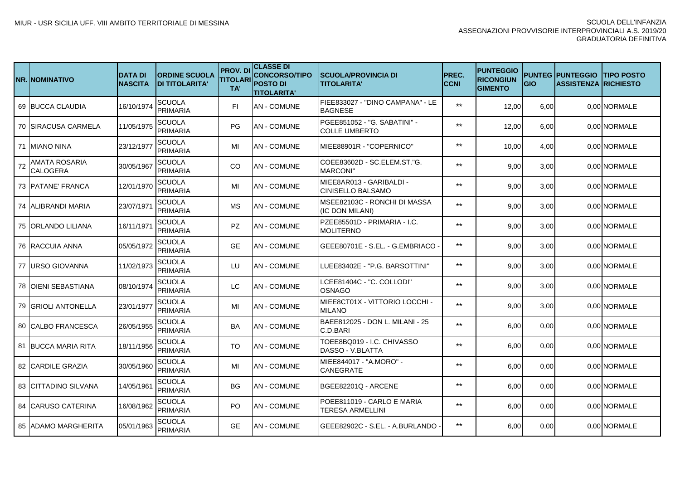|    | <b>NR.INOMINATIVO</b>       | <b>DATA DI</b><br><b>NASCITA</b> | <b>ORDINE SCUOLA</b><br><b>DI TITOLARITA'</b> | <b>PROV.DI</b><br><b>TITOLARI</b><br>TA' | <b>CLASSE DI</b><br><b>CONCORSO/TIPO</b><br><b>POSTO DI</b><br><b>TITOLARITA'</b> | <b>SCUOLA/PROVINCIA DI</b><br><b>TITOLARITA'</b>       | PREC.<br><b>CCNI</b> | <b>PUNTEGGIO</b><br><b>RICONGIUN</b><br><b>GIMENTO</b> | <b>GIO</b> | <b>PUNTEG IPUNTEGGIO</b><br><b>ASSISTENZA RICHIESTO</b> | <b>ITIPO POSTO</b> |
|----|-----------------------------|----------------------------------|-----------------------------------------------|------------------------------------------|-----------------------------------------------------------------------------------|--------------------------------------------------------|----------------------|--------------------------------------------------------|------------|---------------------------------------------------------|--------------------|
|    | 69 BUCCA CLAUDIA            | 16/10/1974                       | <b>SCUOLA</b><br><b>PRIMARIA</b>              | FI.                                      | <b>AN - COMUNE</b>                                                                | FIEE833027 - "DINO CAMPANA" - LE<br><b>BAGNESE</b>     | $***$                | 12,00                                                  | 6,00       |                                                         | 0.00 NORMALE       |
|    | 70 ISIRACUSA CARMELA        | 11/05/1975                       | SCUOLA<br><b>PRIMARIA</b>                     | PG.                                      | AN - COMUNE                                                                       | PGEE851052 - "G. SABATINI" -<br><b>COLLE UMBERTO</b>   | $***$                | 12,00                                                  | 6,00       |                                                         | 0.00 NORMALE       |
|    | 71 IMIANO NINA              | 23/12/1977                       | SCUOLA<br><b>PRIMARIA</b>                     | MI                                       | <b>AN - COMUNE</b>                                                                | MIEE88901R - "COPERNICO"                               | $***$                | 10,00                                                  | 4,00       |                                                         | 0.00 NORMALE       |
| 72 | AMATA ROSARIA<br>CALOGERA   | 30/05/1967                       | <b>SCUOLA</b><br><b>PRIMARIA</b>              | <b>CO</b>                                | <b>AN - COMUNE</b>                                                                | COEE83602D - SC.ELEM.ST."G.<br><b>MARCONI'</b>         | $***$                | 9,00                                                   | 3,00       |                                                         | 0.00 NORMALE       |
|    | 73 PATANE' FRANCA           | 12/01/1970                       | <b>SCUOLA</b><br><b>PRIMARIA</b>              | MI                                       | <b>AN - COMUNE</b>                                                                | MIEE8AR013 - GARIBALDI -<br>CINISELLO BALSAMO          | $***$                | 9,00                                                   | 3,00       |                                                         | 0.00 NORMALE       |
|    | 74 IALIBRANDI MARIA         | 23/07/1971                       | <b>SCUOLA</b><br><b>PRIMARIA</b>              | MS                                       | AN - COMUNE                                                                       | MSEE82103C - RONCHI DI MASSA<br>(IC DON MILANI)        | $***$                | 9,00                                                   | 3,00       |                                                         | 0.00 NORMALE       |
|    | 75 IORLANDO LILIANA         | 16/11/1971                       | <b>SCUOLA</b><br>PRIMARIA                     | <b>PZ</b>                                | AN - COMUNE                                                                       | PZEE85501D - PRIMARIA - I.C.<br><b>MOLITERNO</b>       | $***$                | 9,00                                                   | 3,00       |                                                         | 0.00 NORMALE       |
|    | 76 RACCUIA ANNA             | 05/05/1972                       | <b>SCUOLA</b><br>PRIMARIA                     | <b>GE</b>                                | <b>AN - COMUNE</b>                                                                | GEEE80701E - S.EL. - G.EMBRIACO                        | $***$                | 9,00                                                   | 3,00       |                                                         | 0.00 NORMALE       |
|    | 77 IURSO GIOVANNA           | 11/02/1973                       | <b>SCUOLA</b><br><b>PRIMARIA</b>              | LU                                       | <b>AN - COMUNE</b>                                                                | LUEE83402E - "P.G. BARSOTTINI"                         | $***$                | 9,00                                                   | 3,00       |                                                         | 0.00 NORMALE       |
|    | 78 JOIENI SEBASTIANA        | 08/10/1974                       | <b>SCUOLA</b><br>PRIMARIA                     | LC.                                      | <b>AN - COMUNE</b>                                                                | LCEE81404C - "C. COLLODI"<br><b>OSNAGO</b>             | $**$                 | 9,00                                                   | 3,00       |                                                         | 0.00 NORMALE       |
|    | 79 IGRIOLI ANTONELLA        | 23/01/1977                       | <b>SCUOLA</b><br>PRIMARIA                     | MI                                       | AN - COMUNE                                                                       | <b>MIEE8CT01X - VITTORIO LOCCHI -</b><br><b>MILANO</b> | $**$                 | 9,00                                                   | 3,00       |                                                         | 0.00 NORMALE       |
|    | 80 CALBO FRANCESCA          | 26/05/1955                       | SCUOLA<br>PRIMARIA                            | BA                                       | AN - COMUNE                                                                       | BAEE812025 - DON L. MILANI - 25<br>C.D.BARI            | $**$                 | 6,00                                                   | 0,00       |                                                         | 0,00 NORMALE       |
|    | 81 IBUCCA MARIA RITA        | 18/11/1956                       | SCUOLA<br>PRIMARIA                            | TO                                       | <b>AN - COMUNE</b>                                                                | TOEE8BQ019 - I.C. CHIVASSO<br>DASSO - V.BLATTA         | $**$                 | 6,00                                                   | 0.00       |                                                         | 0,00 NORMALE       |
|    | 82 CARDILE GRAZIA           | 30/05/1960                       | SCUOLA<br><b>PRIMARIA</b>                     | MI                                       | <b>AN - COMUNE</b>                                                                | MIEE844017 - "A.MORO" -<br><b>CANEGRATE</b>            | $**$                 | 6,00                                                   | 0.00       |                                                         | 0.00 NORMALE       |
|    | 83 ICITTADINO SILVANA       | 14/05/1961                       | <b>SCUOLA</b><br>PRIMARIA                     | BG.                                      | AN - COMUNE                                                                       | BGEE82201Q - ARCENE                                    | $**$                 | 6,00                                                   | 0,00       |                                                         | 0.00 NORMALE       |
|    | 84 ICARUSO CATERINA         | 16/08/1962                       | SCUOLA<br>PRIMARIA                            | PO.                                      | AN - COMUNE                                                                       | POEE811019 - CARLO E MARIA<br><b>TERESA ARMELLINI</b>  | $***$                | 6,00                                                   | 0,00       |                                                         | 0.00 NORMALE       |
|    | <b>85 JADAMO MARGHERITA</b> | 05/01/1963                       | SCUOLA<br><b>PRIMARIA</b>                     | <b>GE</b>                                | <b>AN - COMUNE</b>                                                                | GEEE82902C - S.EL. - A.BURLANDO                        | $***$                | 6,00                                                   | 0,00       |                                                         | 0.00 NORMALE       |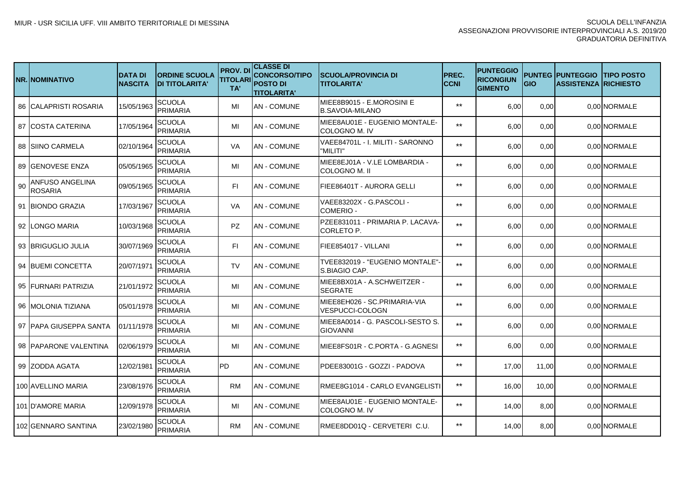|    | NR.INOMINATIVO                    | <b>DATA DI</b><br><b>NASCITA</b> | <b>ORDINE SCUOLA</b><br><b>DI TITOLARITA'</b> | <b>PROV.DI</b><br><b>TITOLARI</b><br>TA' | <b>CLASSE DI</b><br><b>CONCORSO/TIPO</b><br><b>POSTO DI</b><br><b>TITOLARITA'</b> | <b>SCUOLA/PROVINCIA DI</b><br><b>TITOLARITA'</b>       | <b>PREC.</b><br><b>CCNI</b> | <b>PUNTEGGIO</b><br><b>RICONGIUN</b><br><b>GIMENTO</b> | <b>GIO</b> | <b>PUNTEG PUNTEGGIO</b><br><b>ASSISTENZA RICHIESTO</b> | <b>ITIPO POSTO</b> |
|----|-----------------------------------|----------------------------------|-----------------------------------------------|------------------------------------------|-----------------------------------------------------------------------------------|--------------------------------------------------------|-----------------------------|--------------------------------------------------------|------------|--------------------------------------------------------|--------------------|
|    | 86 CALAPRISTI ROSARIA             | 15/05/1963                       | SCUOLA<br><b>PRIMARIA</b>                     | MI                                       | <b>AN - COMUNE</b>                                                                | MIEE8B9015 - E.MOROSINI E<br>B.SAVOIA-MILANO           | $***$                       | 6,00                                                   | 0,00       |                                                        | 0,00 NORMALE       |
|    | 87 COSTA CATERINA                 | 17/05/1964                       | <b>SCUOLA</b><br><b>PRIMARIA</b>              | MI                                       | <b>AN - COMUNE</b>                                                                | MIEE8AU01E - EUGENIO MONTALE-<br>COLOGNO M. IV         | $***$                       | 6,00                                                   | 0,00       |                                                        | 0,00 NORMALE       |
|    | <b>88 ISIINO CARMELA</b>          | 02/10/1964                       | <b>SCUOLA</b><br><b>PRIMARIA</b>              | <b>VA</b>                                | <b>AN - COMUNE</b>                                                                | VAEE84701L - I. MILITI - SARONNO<br>"MILITI"           | $***$                       | 6,00                                                   | 0,00       |                                                        | 0,00 NORMALE       |
|    | 89 IGENOVESE ENZA                 | 05/05/1965                       | <b>SCUOLA</b><br><b>PRIMARIA</b>              | MI                                       | AN - COMUNE                                                                       | MIEE8EJ01A - V.LE LOMBARDIA -<br>COLOGNO M. II         | $***$                       | 6,00                                                   | 0,00       |                                                        | 0,00 NORMALE       |
| 90 | ANFUSO ANGELINA<br><b>ROSARIA</b> | 09/05/1965                       | <b>SCUOLA</b><br><b>PRIMARIA</b>              | FI.                                      | <b>AN - COMUNE</b>                                                                | IFIEE86401T - AURORA GELLI                             | $***$                       | 6,00                                                   | 0,00       |                                                        | 0.00 NORMALE       |
|    | 91 BIONDO GRAZIA                  | 17/03/1967                       | SCUOLA<br><b>PRIMARIA</b>                     | VA                                       | AN - COMUNE                                                                       | VAEE83202X - G.PASCOLI -<br>COMERIO -                  | $***$                       | 6,00                                                   | 0.00       |                                                        | 0.00 NORMALE       |
|    | 92 LONGO MARIA                    | 10/03/1968                       | SCUOLA<br><b>PRIMARIA</b>                     | <b>PZ</b>                                | AN - COMUNE                                                                       | PZEE831011 - PRIMARIA P. LACAVA-<br><b>CORLETO P</b>   | $***$                       | 6,00                                                   | 0,00       |                                                        | 0,00 NORMALE       |
|    | 93 IBRIGUGLIO JULIA               | 30/07/1969                       | SCUOLA<br><b>PRIMARIA</b>                     | <b>FI</b>                                | <b>AN - COMUNE</b>                                                                | FIEE854017 - VILLANI                                   | $***$                       | 6,00                                                   | 0,00       |                                                        | 0,00 NORMALE       |
|    | 94 IBUEMI CONCETTA                | 20/07/1971                       | SCUOLA<br><b>PRIMARIA</b>                     | <b>TV</b>                                | AN - COMUNE                                                                       | TVEE832019 - "EUGENIO MONTALE"<br>S.BIAGIO CAP.        | $***$                       | 6,00                                                   | 0,00       |                                                        | 0,00 NORMALE       |
|    | 95 <b>I</b> FURNARI PATRIZIA      | 21/01/1972                       | <b>SCUOLA</b><br><b>PRIMARIA</b>              | MI                                       | <b>AN - COMUNE</b>                                                                | MIEE8BX01A - A.SCHWEITZER -<br><b>SEGRATE</b>          | $***$                       | 6,00                                                   | 0,00       |                                                        | 0,00 NORMALE       |
|    | 96 IMOLONIA TIZIANA               | 05/01/1978                       | <b>SCUOLA</b><br><b>PRIMARIA</b>              | MI                                       | <b>AN - COMUNE</b>                                                                | MIEE8EH026 - SC.PRIMARIA-VIA<br><b>VESPUCCI-COLOGN</b> | $***$                       | 6,00                                                   | 0,00       |                                                        | 0.00 NORMALE       |
|    | 97 IPAPA GIUSEPPA SANTA           | 01/11/1978                       | <b>SCUOLA</b><br><b>PRIMARIA</b>              | MI                                       | AN - COMUNE                                                                       | MIEE8A0014 - G. PASCOLI-SESTO S.<br><b>GIOVANNI</b>    | $***$                       | 6,00                                                   | 0.00       |                                                        | 0.00 NORMALE       |
|    | 98 IPAPARONE VALENTINA            | 02/06/1979                       | <b>SCUOLA</b><br><b>PRIMARIA</b>              | MI                                       | AN - COMUNE                                                                       | IMIEE8FS01R - C.PORTA - G.AGNESI                       | $***$                       | 6.00                                                   | 0.00       |                                                        | 0.00 NORMALE       |
|    | 99 IZODDA AGATA                   | 12/02/1981                       | <b>SCUOLA</b><br><b>PRIMARIA</b>              | PD.                                      | AN - COMUNE                                                                       | IPDEE83001G - GOZZI - PADOVA                           | $***$                       | 17.00                                                  | 11,00      |                                                        | 0,00 NORMALE       |
|    | 100 AVELLINO MARIA                | 23/08/1976                       | SCUOLA<br><b>PRIMARIA</b>                     | <b>RM</b>                                | <b>AN - COMUNE</b>                                                                | RMEE8G1014 - CARLO EVANGELISTI                         | $***$                       | 16,00                                                  | 10,00      |                                                        | 0,00 NORMALE       |
|    | 101 D'AMORE MARIA                 | 12/09/1978                       | SCUOLA<br><b>PRIMARIA</b>                     | MI                                       | <b>AN - COMUNE</b>                                                                | IMIEE8AU01E - EUGENIO MONTALE-<br>COLOGNO M. IV        | $***$                       | 14,00                                                  | 8,00       |                                                        | 0,00 NORMALE       |
|    | 102 GENNARO SANTINA               | 23/02/1980                       | SCUOLA<br><b>PRIMARIA</b>                     | RM                                       | <b>AN - COMUNE</b>                                                                | RMEE8DD01Q - CERVETERI C.U.                            | $***$                       | 14,00                                                  | 8,00       |                                                        | 0,00 NORMALE       |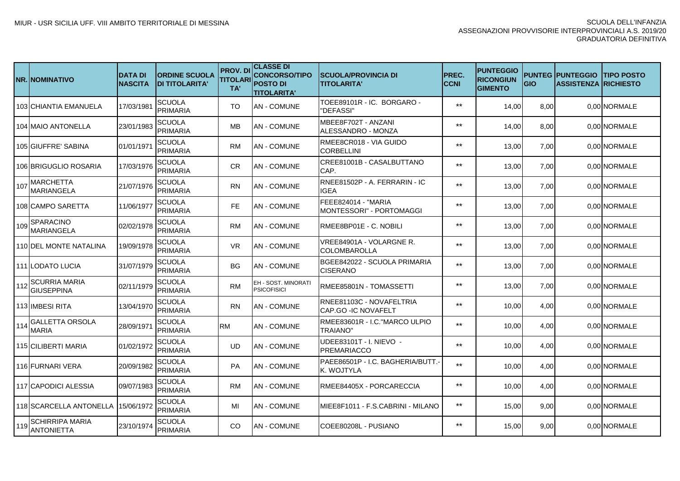|     | <b>NR.INOMINATIVO</b>                     | <b>DATA DI</b><br><b>NASCITA</b> | <b>ORDINE SCUOLA</b><br><b>DI TITOLARITA'</b> | <b>PROV. DI</b><br><b>TITOLARI</b><br>TA' | <b>CLASSE DI</b><br><b>CONCORSO/TIPO</b><br><b>POSTO DI</b><br><b>TITOLARITA'</b> | ISCUOLA/PROVINCIA DI<br><b>TITOLARITA'</b>      | <b>IPREC.</b><br><b>CCNI</b> | <b>PUNTEGGIO</b><br><b>RICONGIUN</b><br><b>GIMENTO</b> | <b>GIO</b> | <b>PUNTEG IPUNTEGGIO</b><br><b>ASSISTENZA RICHIESTO</b> | <b>ITIPO POSTO</b> |
|-----|-------------------------------------------|----------------------------------|-----------------------------------------------|-------------------------------------------|-----------------------------------------------------------------------------------|-------------------------------------------------|------------------------------|--------------------------------------------------------|------------|---------------------------------------------------------|--------------------|
|     | 103 CHIANTIA EMANUELA                     | 17/03/1981                       | <b>SCUOLA</b><br><b>PRIMARIA</b>              | <b>TO</b>                                 | <b>AN - COMUNE</b>                                                                | TOEE89101R - IC. BORGARO -<br>'DEFASSI"         | $***$                        | 14,00                                                  | 8,00       |                                                         | 0.00 NORMALE       |
|     | 104 MAIO ANTONELLA                        | 23/01/1983                       | <b>SCUOLA</b><br><b>PRIMARIA</b>              | <b>MB</b>                                 | <b>AN - COMUNE</b>                                                                | MBEE8F702T - ANZANI<br>ALESSANDRO - MONZA       | $***$                        | 14,00                                                  | 8,00       |                                                         | 0.00 NORMALE       |
|     | 105 GIUFFRE' SABINA                       | 01/01/1971                       | <b>SCUOLA</b><br>PRIMARIA                     | <b>RM</b>                                 | <b>AN - COMUNE</b>                                                                | RMEE8CR018 - VIA GUIDO<br><b>CORBELLINI</b>     | $***$                        | 13,00                                                  | 7,00       |                                                         | 0,00 NORMALE       |
|     | 106 BRIGUGLIO ROSARIA                     | 17/03/1976                       | SCUOLA<br><b>PRIMARIA</b>                     | <b>CR</b>                                 | <b>AN - COMUNE</b>                                                                | CREE81001B - CASALBUTTANO<br>CAP.               | $***$                        | 13,00                                                  | 7,00       |                                                         | 0.00 NORMALE       |
| 107 | MARCHETTA<br><b>MARIANGELA</b>            | 21/07/1976                       | SCUOLA<br><b>PRIMARIA</b>                     | <b>RN</b>                                 | <b>AN - COMUNE</b>                                                                | RNEE81502P - A. FERRARIN - IC<br><b>IGEA</b>    | $***$                        | 13,00                                                  | 7,00       |                                                         | 0.00 NORMALE       |
|     | 108 CAMPO SARETTA                         | 11/06/1977                       | <b>SCUOLA</b><br><b>PRIMARIA</b>              | <b>FE</b>                                 | <b>AN - COMUNE</b>                                                                | FEEE824014 - "MARIA<br>MONTESSORI" - PORTOMAGGI | $***$                        | 13,00                                                  | 7,00       |                                                         | 0.00 NORMALE       |
| 109 | <b>SPARACINO</b><br><b>MARIANGELA</b>     | 02/02/1978                       | <b>SCUOLA</b><br><b>PRIMARIA</b>              | <b>RM</b>                                 | <b>AN - COMUNE</b>                                                                | RMEE8BP01E - C. NOBILI                          | $***$                        | 13,00                                                  | 7,00       |                                                         | 0.00 NORMALE       |
|     | 110 DEL MONTE NATALINA                    | 19/09/1978                       | SCUOLA<br><b>PRIMARIA</b>                     | <b>VR</b>                                 | IAN - COMUNE                                                                      | VREE84901A - VOLARGNE R.<br><b>COLOMBAROLLA</b> | $***$                        | 13,00                                                  | 7,00       |                                                         | 0.00 NORMALE       |
|     | 111 ILODATO LUCIA                         | 31/07/1979                       | SCUOLA<br>PRIMARIA                            | BG.                                       | <b>AN - COMUNE</b>                                                                | BGEE842022 - SCUOLA PRIMARIA<br><b>CISERANO</b> | $***$                        | 13,00                                                  | 7,00       |                                                         | 0.00 NORMALE       |
| 112 | <b>SCURRIA MARIA</b><br><b>GIUSEPPINA</b> | 02/11/1979                       | <b>SCUOLA</b><br>PRIMARIA                     | <b>RM</b>                                 | EH - SOST. MINORATI<br><b>PSICOFISICI</b>                                         | RMEE85801N - TOMASSETTI                         | $***$                        | 13,00                                                  | 7,00       |                                                         | 0.00 NORMALE       |
|     | 113 IIMBESI RITA                          | 13/04/1970                       | SCUOLA<br>PRIMARIA                            | <b>RN</b>                                 | <b>AN - COMUNE</b>                                                                | RNEE81103C - NOVAFELTRIA<br>CAP.GO -IC NOVAFELT | $***$                        | 10,00                                                  | 4,00       |                                                         | 0,00 NORMALE       |
| 114 | <b>GALLETTA ORSOLA</b><br>MARIA           | 28/09/1971                       | SCUOLA<br>PRIMARIA                            | <b>RM</b>                                 | <b>AN - COMUNE</b>                                                                | RMEE83601R - I.C. "MARCO ULPIO<br>TRAIANO'      | $***$                        | 10,00                                                  | 4,00       |                                                         | 0.00 NORMALE       |
|     | 115 CILIBERTI MARIA                       | 01/02/1972                       | <b>SCUOLA</b><br>PRIMARIA                     | UD                                        | <b>AN - COMUNE</b>                                                                | UDEE83101T - I. NIEVO -<br>PREMARIACCO          | $***$                        | 10,00                                                  | 4,00       |                                                         | 0.00 NORMALE       |
|     | 116 FURNARI VERA                          | 20/09/1982                       | SCUOLA<br>PRIMARIA                            | <b>PA</b>                                 | <b>AN - COMUNE</b>                                                                | PAEE86501P - I.C. BAGHERIA/BUTT.-<br>K. WOJTYLA | $**$                         | 10,00                                                  | 4,00       |                                                         | 0.00 NORMALE       |
|     | 117 CAPODICI ALESSIA                      | 09/07/1983                       | SCUOLA<br>PRIMARIA                            | <b>RM</b>                                 | <b>AN - COMUNE</b>                                                                | RMEE84405X - PORCARECCIA                        | $***$                        | 10,00                                                  | 4,00       |                                                         | 0.00 NORMALE       |
|     | 118 SCARCELLA ANTONELLA 15/06/1972        |                                  | SCUOLA<br>PRIMARIA                            | MI                                        | <b>AN - COMUNE</b>                                                                | MIEE8F1011 - F.S.CABRINI - MILANO               | $***$                        | 15,00                                                  | 9,00       |                                                         | 0.00 NORMALE       |
| 119 | ISCHIRRIPA MARIA<br><b>ANTONIETTA</b>     | 23/10/1974                       | SCUOLA<br><b>PRIMARIA</b>                     | CO.                                       | <b>AN - COMUNE</b>                                                                | COEE80208L - PUSIANO                            | $***$                        | 15,00                                                  | 9,00       |                                                         | 0.00 NORMALE       |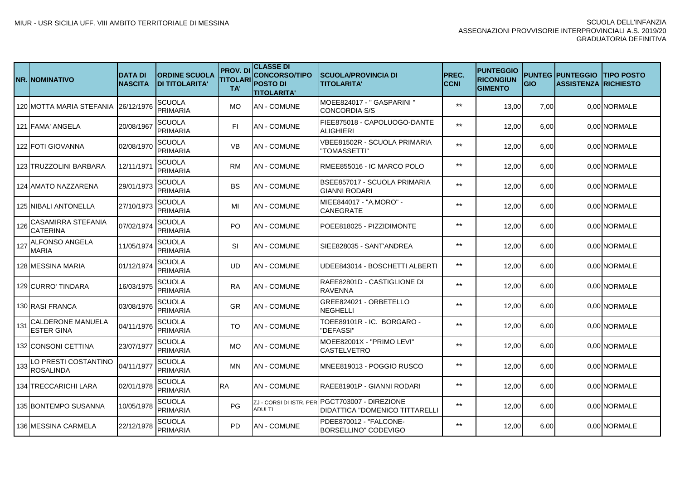|     | <b>NR.INOMINATIVO</b>                         | <b>DATA DI</b><br><b>NASCITA</b> | <b>ORDINE SCUOLA</b><br><b>DI TITOLARITA'</b> | <b>PROV. DI</b><br>TITOLARI<br>TA' | <b>CLASSE DI</b><br><b>CONCORSO/TIPO</b><br><b>POSTO DI</b><br><b>TITOLARITA'</b> | <b>SCUOLA/PROVINCIA DI</b><br><b>TITOLARITA'</b>                                 | PREC.<br><b>CCNI</b> | <b>PUNTEGGIO</b><br><b>RICONGIUN</b><br><b>GIMENTO</b> | <b>GIO</b> | <b>PUNTEG PUNTEGGIO</b><br><b>ASSISTENZA RICHIESTO</b> | <b>ITIPO POSTO</b> |
|-----|-----------------------------------------------|----------------------------------|-----------------------------------------------|------------------------------------|-----------------------------------------------------------------------------------|----------------------------------------------------------------------------------|----------------------|--------------------------------------------------------|------------|--------------------------------------------------------|--------------------|
|     | 120 MOTTA MARIA STEFANIA                      | 26/12/1976                       | SCUOLA<br><b>PRIMARIA</b>                     | <b>MO</b>                          | AN - COMUNE                                                                       | MOEE824017 - " GASPARINI "<br>ICONCORDIA S/S                                     | $***$                | 13,00                                                  | 7,00       |                                                        | 0,00 NORMALE       |
|     | 121 FAMA' ANGELA                              | 20/08/1967                       | SCUOLA<br><b>PRIMARIA</b>                     | FI.                                | <b>AN - COMUNE</b>                                                                | FIEE875018 - CAPOLUOGO-DANTE<br>ALIGHIERI                                        | $***$                | 12,00                                                  | 6,00       |                                                        | 0,00 NORMALE       |
|     | <b>122 FOTI GIOVANNA</b>                      | 02/08/1970                       | <b>SCUOLA</b><br><b>PRIMARIA</b>              | <b>VB</b>                          | <b>AN - COMUNE</b>                                                                | VBEE81502R - SCUOLA PRIMARIA<br><b>TOMASSETTI"</b>                               | $***$                | 12,00                                                  | 6,00       |                                                        | 0,00 NORMALE       |
|     | 123 ITRUZZOLINI BARBARA                       | 12/11/1971                       | SCUOLA<br>PRIMARIA                            | <b>RM</b>                          | AN - COMUNE                                                                       | IRMEE855016 - IC MARCO POLO                                                      | $***$                | 12,00                                                  | 6,00       |                                                        | 0,00 NORMALE       |
|     | 124 JAMATO NAZZARENA                          | 29/01/1973                       | SCUOLA<br>PRIMARIA                            | <b>BS</b>                          | AN - COMUNE                                                                       | BSEE857017 - SCUOLA PRIMARIA<br><b>GIANNI RODARI</b>                             | $***$                | 12,00                                                  | 6,00       |                                                        | 0,00 NORMALE       |
|     | <b>125 NIBALI ANTONELLA</b>                   | 27/10/1973                       | SCUOLA<br><b>PRIMARIA</b>                     | MI                                 | <b>AN - COMUNE</b>                                                                | MIEE844017 - "A.MORO" -<br><b>CANEGRATE</b>                                      | $***$                | 12,00                                                  | 6,00       |                                                        | 0.00 NORMALE       |
| 126 | CASAMIRRA STEFANIA<br><b>CATERINA</b>         | 07/02/1974                       | SCUOLA<br><b>PRIMARIA</b>                     | PO.                                | <b>AN - COMUNE</b>                                                                | POEE818025 - PIZZIDIMONTE                                                        | $***$                | 12,00                                                  | 6,00       |                                                        | 0,00 NORMALE       |
| 127 | ALFONSO ANGELA<br>MARIA                       | 11/05/1974                       | SCUOLA<br><b>PRIMARIA</b>                     | SI                                 | AN - COMUNE                                                                       | SIEE828035 - SANT'ANDREA                                                         | $***$                | 12,00                                                  | 6,00       |                                                        | 0,00 NORMALE       |
|     | 128 MESSINA MARIA                             | 01/12/1974                       | SCUOLA<br><b>PRIMARIA</b>                     | <b>UD</b>                          | <b>AN - COMUNE</b>                                                                | UDEE843014 - BOSCHETTI ALBERTI                                                   | $***$                | 12,00                                                  | 6,00       |                                                        | 0,00 NORMALE       |
|     | 129 CURRO' TINDARA                            | 16/03/1975                       | SCUOLA<br><b>PRIMARIA</b>                     | <b>RA</b>                          | <b>AN - COMUNE</b>                                                                | RAEE82801D - CASTIGLIONE DI<br><b>RAVENNA</b>                                    | $***$                | 12,00                                                  | 6,00       |                                                        | 0,00 NORMALE       |
|     | <b>130 RASI FRANCA</b>                        | 03/08/1976                       | <b>SCUOLA</b><br><b>PRIMARIA</b>              | <b>GR</b>                          | <b>AN - COMUNE</b>                                                                | GREE824021 - ORBETELLO<br><b>NEGHELLI</b>                                        | $***$                | 12,00                                                  | 6,00       |                                                        | 0,00 NORMALE       |
| 131 | <b>CALDERONE MANUELA</b><br><b>ESTER GINA</b> | 04/11/1976                       | <b>SCUOLA</b><br><b>PRIMARIA</b>              | TO                                 | AN - COMUNE                                                                       | TOEE89101R - IC. BORGARO -<br>"DEFASSI"                                          | $***$                | 12,00                                                  | 6,00       |                                                        | 0,00 NORMALE       |
|     | 132 ICONSONI CETTINA                          | 23/07/1977                       | <b>SCUOLA</b><br><b>PRIMARIA</b>              | <b>MO</b>                          | AN - COMUNE                                                                       | MOEE82001X - "PRIMO LEVI"<br><b>CASTELVETRO</b>                                  | $***$                | 12,00                                                  | 6,00       |                                                        | 0,00 NORMALE       |
| 133 | LO PRESTI COSTANTINO<br><b>ROSALINDA</b>      | 04/11/1977                       | <b>SCUOLA</b><br><b>PRIMARIA</b>              | MN                                 | AN - COMUNE                                                                       | IMNEE819013 - POGGIO RUSCO                                                       | $***$                | 12,00                                                  | 6.00       |                                                        | 0,00 NORMALE       |
|     | 134 TRECCARICHI LARA                          | 02/01/1978                       | <b>SCUOLA</b><br><b>PRIMARIA</b>              | IRA.                               | AN - COMUNE                                                                       | IRAEE81901P - GIANNI RODARI                                                      | $***$                | 12,00                                                  | 6,00       |                                                        | 0,00 NORMALE       |
|     | 135 BONTEMPO SUSANNA                          | 10/05/1978                       | SCUOLA<br><b>PRIMARIA</b>                     | PG                                 | ADULTI                                                                            | ZJ - CORSI DI ISTR. PER PGCT703007 - DIREZIONE<br>DIDATTICA "DOMENICO TITTARELLI | $***$                | 12,00                                                  | 6,00       |                                                        | 0,00 NORMALE       |
|     | 136 MESSINA CARMELA                           | 22/12/1978                       | SCUOLA<br>PRIMARIA                            | <b>PD</b>                          | <b>AN - COMUNE</b>                                                                | PDEE870012 - "FALCONE-<br><b>BORSELLINO" CODEVIGO</b>                            | $***$                | 12,00                                                  | 6,00       |                                                        | 0,00 NORMALE       |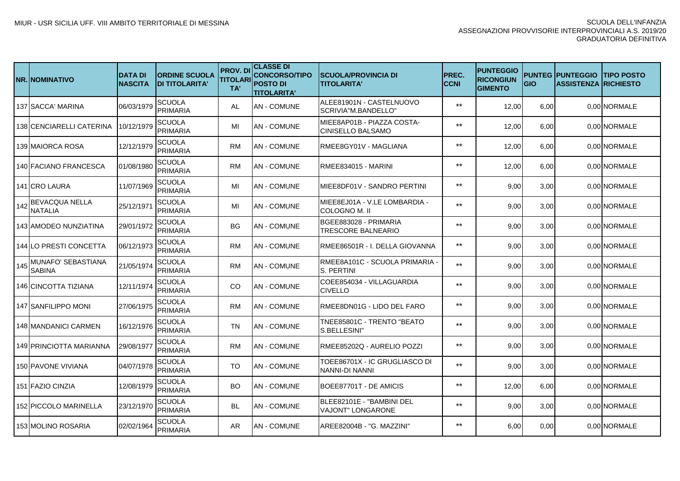|     | <b>NR.INOMINATIVO</b>               | <b>DATA DI</b><br><b>NASCITA</b> | <b>ORDINE SCUOLA</b><br><b>DI TITOLARITA'</b> | <b>PROV.DI</b><br><b>TITOLARI</b><br>TA' | <b>CLASSE DI</b><br><b>CONCORSO/TIPO</b><br><b>POSTO DI</b><br><b>TITOLARITA'</b> | <b>ISCUOLA/PROVINCIA DI</b><br><b>TITOLARITA'</b>     | PREC.<br><b>CCNI</b> | <b>PUNTEGGIO</b><br><b>RICONGIUN</b><br><b>GIMENTO</b> | <b>GIO</b> | <b>PUNTEG PUNTEGGIO</b><br><b>ASSISTENZA RICHIESTO</b> | <b>ITIPO POSTO</b> |
|-----|-------------------------------------|----------------------------------|-----------------------------------------------|------------------------------------------|-----------------------------------------------------------------------------------|-------------------------------------------------------|----------------------|--------------------------------------------------------|------------|--------------------------------------------------------|--------------------|
|     | 137 SACCA' MARINA                   | 06/03/1979                       | <b>SCUOLA</b><br><b>PRIMARIA</b>              | AL                                       | <b>AN - COMUNE</b>                                                                | ALEE81901N - CASTELNUOVO<br>SCRIVIA"M.BANDELLO"       | $***$                | 12,00                                                  | 6,00       |                                                        | 0,00 NORMALE       |
|     | 138 CENCIARELLI CATERINA            | 10/12/1979                       | SCUOLA<br><b>PRIMARIA</b>                     | MI                                       | <b>AN - COMUNE</b>                                                                | MIEE8AP01B - PIAZZA COSTA-<br>ICINISELLO BALSAMO      | $***$                | 12,00                                                  | 6,00       |                                                        | 0,00 NORMALE       |
|     | 139 MAIORCA ROSA                    | 12/12/1979                       | SCUOLA<br><b>PRIMARIA</b>                     | <b>RM</b>                                | <b>AN - COMUNE</b>                                                                | RMEE8GY01V - MAGLIANA                                 | $***$                | 12,00                                                  | 6,00       |                                                        | 0,00 NORMALE       |
|     | 140 FACIANO FRANCESCA               | 01/08/1980                       | SCUOLA<br><b>PRIMARIA</b>                     | <b>RM</b>                                | <b>AN - COMUNE</b>                                                                | RMEE834015 - MARINI                                   | $***$                | 12,00                                                  | 6,00       |                                                        | 0,00 NORMALE       |
|     | 141 ICRO LAURA                      | 11/07/1969                       | SCUOLA<br><b>PRIMARIA</b>                     | MI                                       | <b>AN - COMUNE</b>                                                                | IMIEE8DF01V - SANDRO PERTINI                          | $***$                | 9,00                                                   | 3,00       |                                                        | 0,00 NORMALE       |
| 142 | <b>BEVACQUA NELLA</b><br>NATALIA    | 25/12/1971                       | <b>SCUOLA</b><br><b>PRIMARIA</b>              | MI                                       | <b>AN - COMUNE</b>                                                                | MIEE8EJ01A - V.LE LOMBARDIA -<br>ICOLOGNO M. II       | $***$                | 9,00                                                   | 3,00       |                                                        | 0.00 NORMALE       |
|     | 143 AMODEO NUNZIATINA               | 29/01/1972                       | <b>SCUOLA</b><br><b>PRIMARIA</b>              | <b>BG</b>                                | AN - COMUNE                                                                       | BGEE883028 - PRIMARIA<br><b>TRESCORE BALNEARIO</b>    | $***$                | 9,00                                                   | 3,00       |                                                        | 0.00 NORMALE       |
|     | 144 ILO PRESTI CONCETTA             | 06/12/1973                       | <b>SCUOLA</b><br>PRIMARIA                     | RM                                       | AN - COMUNE                                                                       | IRMEE86501R - I. DELLA GIOVANNA                       | $***$                | 9,00                                                   | 3,00       |                                                        | 0.00 NORMALE       |
| 145 | MUNAFO' SEBASTIANA<br><b>SABINA</b> | 21/05/1974                       | <b>SCUOLA</b><br><b>PRIMARIA</b>              | RM                                       | AN - COMUNE                                                                       | RMEE8A101C - SCUOLA PRIMARIA -<br>S. PERTINI          | $***$                | 9,00                                                   | 3,00       |                                                        | 0,00 NORMALE       |
|     | 146 CINCOTTA TIZIANA                | 12/11/1974                       | <b>SCUOLA</b><br><b>PRIMARIA</b>              | CO.                                      | AN - COMUNE                                                                       | COEE854034 - VILLAGUARDIA<br><b>CIVELLO</b>           | $***$                | 9,00                                                   | 3,00       |                                                        | 0,00 NORMALE       |
|     | 147 ISANFILIPPO MONI                | 27/06/1975                       | <b>SCUOLA</b><br><b>PRIMARIA</b>              | RM                                       | AN - COMUNE                                                                       | RMEE8DN01G - LIDO DEL FARO                            | $***$                | 9,00                                                   | 3,00       |                                                        | 0,00 NORMALE       |
|     | 148 MANDANICI CARMEN                | 16/12/1976                       | <b>SCUOLA</b><br><b>PRIMARIA</b>              | TN                                       | AN - COMUNE                                                                       | TNEE85801C - TRENTO "BEATO<br>S.BELLESINI'            | $***$                | 9,00                                                   | 3,00       |                                                        | 0,00 NORMALE       |
|     | 149 IPRINCIOTTA MARIANNA            | 29/08/1977                       | <b>SCUOLA</b><br><b>PRIMARIA</b>              | RM                                       | AN - COMUNE                                                                       | RMEE85202Q - AURELIO POZZI                            | $***$                | 9.00                                                   | 3,00       |                                                        | 0,00 NORMALE       |
|     | <b>150 PAVONE VIVIANA</b>           | 04/07/1978                       | <b>SCUOLA</b><br><b>PRIMARIA</b>              | TO                                       | AN - COMUNE                                                                       | TOEE86701X - IC GRUGLIASCO DI<br>NANNI-DI NANNI       | $***$                | 9,00                                                   | 3,00       |                                                        | 0,00 NORMALE       |
|     | 151 FAZIO CINZIA                    | 12/08/1979                       | SCUOLA<br><b>PRIMARIA</b>                     | BO                                       | AN - COMUNE                                                                       | BOEE87701T - DE AMICIS                                | $***$                | 12,00                                                  | 6,00       |                                                        | 0,00 NORMALE       |
|     | 152 PICCOLO MARINELLA               | 23/12/1970                       | <b>SCUOLA</b><br><b>PRIMARIA</b>              | BL                                       | AN - COMUNE                                                                       | BLEE82101E - "BAMBINI DEL<br><b>VAJONT" LONGARONE</b> | $***$                | 9,00                                                   | 3,00       |                                                        | 0,00 NORMALE       |
|     | 153 MOLINO ROSARIA                  | 02/02/1964                       | SCUOLA<br>PRIMARIA                            | AR                                       | <b>AN - COMUNE</b>                                                                | AREE82004B - "G. MAZZINI"                             | $***$                | 6,00                                                   | 0,00       |                                                        | 0,00 NORMALE       |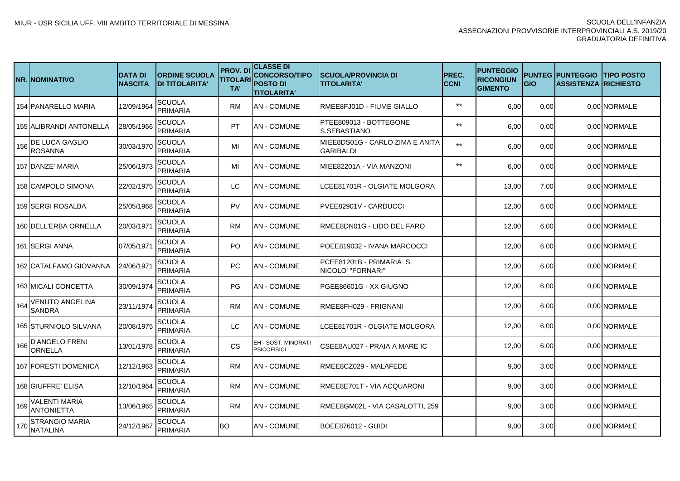|     | <b>NR. NOMINATIVO</b>                     | <b>DATA DI</b><br><b>NASCITA</b> | <b>ORDINE SCUOLA</b><br><b>DI TITOLARITA'</b> | <b>PROV.DI</b><br><b>TITOLARI</b><br>TA' | <b>CLASSE DI</b><br><b>CONCORSO/TIPO</b><br><b>POSTO DI</b><br><b>TITOLARITA'</b> | <b>ISCUOLA/PROVINCIA DI</b><br><b>TITOLARITA'</b>   | <b>IPREC.</b><br><b>CCNI</b> | <b>PUNTEGGIO</b><br><b>RICONGIUN</b><br><b>GIMENTO</b> | <b>GIO</b> | <b>PUNTEG IPUNTEGGIO</b><br><b>ASSISTENZA IRICHIESTO</b> | <b>ITIPO POSTO</b> |
|-----|-------------------------------------------|----------------------------------|-----------------------------------------------|------------------------------------------|-----------------------------------------------------------------------------------|-----------------------------------------------------|------------------------------|--------------------------------------------------------|------------|----------------------------------------------------------|--------------------|
|     | 154 PANARELLO MARIA                       | 12/09/1964                       | <b>SCUOLA</b><br><b>PRIMARIA</b>              | <b>RM</b>                                | <b>AN - COMUNE</b>                                                                | RMEE8FJ01D - FIUME GIALLO                           | $***$                        | 6,00                                                   | 0,00       |                                                          | 0,00 NORMALE       |
|     | 155 ALIBRANDI ANTONELLA                   | 28/05/1966                       | SCUOLA<br><b>PRIMARIA</b>                     | PT                                       | <b>AN - COMUNE</b>                                                                | PTEE809013 - BOTTEGONE<br>S.SEBASTIANO              | $***$                        | 6,00                                                   | 0,00       |                                                          | 0.00 NORMALE       |
| 156 | <b>DE LUCA GAGLIO</b><br><b>ROSANNA</b>   | 30/03/1970                       | SCUOLA<br><b>PRIMARIA</b>                     | MI                                       | <b>AN - COMUNE</b>                                                                | MIEE8DS01G - CARLO ZIMA E ANITA<br><b>GARIBALDI</b> | $***$                        | 6,00                                                   | 0,00       |                                                          | 0.00 NORMALE       |
|     | 157 DANZE' MARIA                          | 25/06/1973                       | <b>SCUOLA</b><br><b>PRIMARIA</b>              | MI                                       | <b>AN - COMUNE</b>                                                                | MIEE82201A - VIA MANZONI                            | $***$                        | 6,00                                                   | 0,00       |                                                          | 0.00 NORMALE       |
|     | 158 CAMPOLO SIMONA                        | 22/02/1975                       | SCUOLA<br><b>PRIMARIA</b>                     | LC                                       | <b>AN - COMUNE</b>                                                                | LCEE81701R - OLGIATE MOLGORA                        |                              | 13,00                                                  | 7,00       |                                                          | 0.00 NORMALE       |
|     | 159 SERGI ROSALBA                         | 25/05/1968                       | SCUOLA<br><b>PRIMARIA</b>                     | PV                                       | <b>AN - COMUNE</b>                                                                | PVEE82901V - CARDUCCI                               |                              | 12,00                                                  | 6,00       |                                                          | 0.00 NORMALE       |
|     | 160 IDELL'ERBA ORNELLA                    | 20/03/1971                       | <b>SCUOLA</b><br><b>PRIMARIA</b>              | <b>RM</b>                                | <b>AN - COMUNE</b>                                                                | RMEE8DN01G - LIDO DEL FARO                          |                              | 12,00                                                  | 6,00       |                                                          | 0.00 NORMALE       |
|     | 161 ISERGI ANNA                           | 07/05/1971                       | <b>SCUOLA</b><br>PRIMARIA                     | PO.                                      | <b>AN - COMUNE</b>                                                                | IPOEE819032 - IVANA MARCOCCI                        |                              | 12,00                                                  | 6,00       |                                                          | 0,00 NORMALE       |
|     | 162 ICATALFAMO GIOVANNA                   | 24/06/1971                       | <b>SCUOLA</b><br>PRIMARIA                     | <b>PC</b>                                | <b>AN - COMUNE</b>                                                                | PCEE81201B - PRIMARIA S.<br>NICOLO' "FORNARI"       |                              | 12,00                                                  | 6,00       |                                                          | 0.00 NORMALE       |
|     | 163 IMICALI CONCETTA                      | 30/09/1974                       | <b>SCUOLA</b><br>PRIMARIA                     | PG.                                      | <b>AN - COMUNE</b>                                                                | IPGEE86601G - XX GIUGNO                             |                              | 12,00                                                  | 6,00       |                                                          | 0.00 NORMALE       |
| 164 | <b>VENUTO ANGELINA</b><br><b>SANDRA</b>   | 23/11/1974                       | <b>SCUOLA</b><br><b>PRIMARIA</b>              | <b>RM</b>                                | <b>AN - COMUNE</b>                                                                | IRMEE8FH029 - FRIGNANI                              |                              | 12,00                                                  | 6,00       |                                                          | 0.00 NORMALE       |
|     | 165 STURNIOLO SILVANA                     | 20/08/1975                       | <b>SCUOLA</b><br><b>PRIMARIA</b>              | LC                                       | <b>AN - COMUNE</b>                                                                | LCEE81701R - OLGIATE MOLGORA                        |                              | 12,00                                                  | 6.00       |                                                          | 0.00 NORMALE       |
| 166 | <b>D'ANGELO FRENI</b><br>ORNELLA          | 13/01/1978                       | <b>SCUOLA</b><br>PRIMARIA                     | CS                                       | EH - SOST. MINORATI<br><b>PSICOFISICI</b>                                         | CSEE8AU027 - PRAIA A MARE IC                        |                              | 12,00                                                  | 6.00       |                                                          | 0,00 NORMALE       |
|     | 167 FORESTI DOMENICA                      | 12/12/1963                       | SCUOLA<br>PRIMARIA                            | <b>RM</b>                                | <b>AN - COMUNE</b>                                                                | RMEE8CZ029 - MALAFEDE                               |                              | 9,00                                                   | 3,00       |                                                          | 0,00 NORMALE       |
|     | 168 GIUFFRE' ELISA                        | 12/10/1964                       | SCUOLA<br><b>PRIMARIA</b>                     | <b>RM</b>                                | <b>AN - COMUNE</b>                                                                | RMEE8E701T - VIA ACQUARONI                          |                              | 9,00                                                   | 3,00       |                                                          | 0,00 NORMALE       |
| 169 | <b>VALENTI MARIA</b><br><b>ANTONIETTA</b> | 13/06/1965                       | SCUOLA<br>PRIMARIA                            | <b>RM</b>                                | <b>AN-COMUNE</b>                                                                  | RMEE8GM02L - VIA CASALOTTI, 259                     |                              | 9,00                                                   | 3,00       |                                                          | 0.00 NORMALE       |
| 170 | <b>STRANGIO MARIA</b><br><b>NATALINA</b>  | 24/12/1967                       | SCUOLA<br><b>PRIMARIA</b>                     | <b>BO</b>                                | <b>AN - COMUNE</b>                                                                | BOEE876012 - GUIDI                                  |                              | 9,00                                                   | 3,00       |                                                          | 0.00 NORMALE       |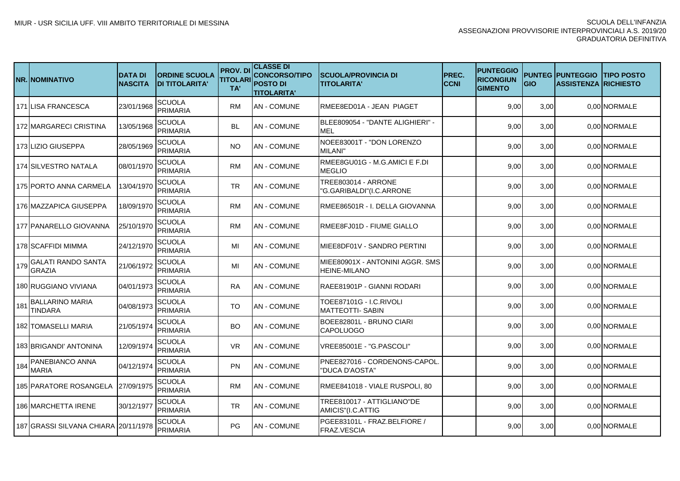|     | NR. NOMINATIVO                           | <b>DATA DI</b><br><b>NASCITA</b> | <b>ORDINE SCUOLA</b><br><b>DI TITOLARITA'</b> | <b>PROV. DI</b><br><b>TITOLARI</b><br>TA' | <b>CLASSE DI</b><br><b>CONCORSO/TIPO</b><br><b>POSTO DI</b><br><b>TITOLARITA'</b> | <b>ISCUOLA/PROVINCIA DI</b><br><b>TITOLARITA'</b>      | PREC.<br><b>CCNI</b> | <b>PUNTEGGIO</b><br><b>RICONGIUN</b><br><b>GIMENTO</b> | <b>GIO</b> | <b>PUNTEG PUNTEGGIO</b><br><b>ASSISTENZA IRICHIESTO</b> | <b>ITIPO POSTO</b> |
|-----|------------------------------------------|----------------------------------|-----------------------------------------------|-------------------------------------------|-----------------------------------------------------------------------------------|--------------------------------------------------------|----------------------|--------------------------------------------------------|------------|---------------------------------------------------------|--------------------|
|     | 171 LISA FRANCESCA                       | 23/01/1968                       | <b>SCUOLA</b><br><b>PRIMARIA</b>              | <b>RM</b>                                 | <b>AN - COMUNE</b>                                                                | IRMEE8ED01A - JEAN PIAGET                              |                      | 9,00                                                   | 3,00       |                                                         | 0,00 NORMALE       |
|     | 172 MARGARECI CRISTINA                   | 13/05/1968                       | SCUOLA<br><b>PRIMARIA</b>                     | <b>BL</b>                                 | AN - COMUNE                                                                       | IBLEE809054 - "DANTE ALIGHIERI" -<br><b>MEL</b>        |                      | 9,00                                                   | 3,00       |                                                         | 0.00 NORMALE       |
|     | 173 LIZIO GIUSEPPA                       | 28/05/1969                       | SCUOLA<br><b>PRIMARIA</b>                     | NO.                                       | <b>AN - COMUNE</b>                                                                | NOEE83001T - "DON LORENZO<br>MILANI"                   |                      | 9,00                                                   | 3,00       |                                                         | 0.00 NORMALE       |
|     | 174 SILVESTRO NATALA                     | 08/01/1970                       | SCUOLA<br><b>PRIMARIA</b>                     | <b>RM</b>                                 | <b>AN - COMUNE</b>                                                                | RMEE8GU01G - M.G.AMICI E F.DI<br><b>MEGLIO</b>         |                      | 9,00                                                   | 3,00       |                                                         | 0.00 NORMALE       |
|     | 175 PORTO ANNA CARMELA                   | 13/04/1970                       | SCUOLA<br><b>PRIMARIA</b>                     | <b>TR</b>                                 | <b>AN - COMUNE</b>                                                                | <b>TREE803014 - ARRONE</b><br>"G.GARIBALDI"(I.C.ARRONE |                      | 9,00                                                   | 3,00       |                                                         | 0.00 NORMALE       |
|     | 176 MAZZAPICA GIUSEPPA                   | 18/09/1970                       | SCUOLA<br><b>PRIMARIA</b>                     | <b>RM</b>                                 | <b>AN - COMUNE</b>                                                                | IRMEE86501R - I. DELLA GIOVANNA                        |                      | 9,00                                                   | 3,00       |                                                         | 0.00 NORMALE       |
|     | 177 PANARELLO GIOVANNA                   | 25/10/1970                       | SCUOLA<br><b>PRIMARIA</b>                     | <b>RM</b>                                 | <b>AN - COMUNE</b>                                                                | IRMEE8FJ01D - FIUME GIALLO                             |                      | 9,00                                                   | 3,00       |                                                         | 0.00 NORMALE       |
|     | 178 ISCAFFIDI MIMMA                      | 24/12/1970                       | <b>SCUOLA</b><br><b>PRIMARIA</b>              | MI                                        | AN - COMUNE                                                                       | IMIEE8DF01V - SANDRO PERTINI                           |                      | 9,00                                                   | 3,00       |                                                         | 0,00 NORMALE       |
|     | 179 GALATI RANDO SANTA<br><b>GRAZIA</b>  | 21/06/1972                       | <b>SCUOLA</b><br><b>PRIMARIA</b>              | MI                                        | AN - COMUNE                                                                       | MIEE80901X - ANTONINI AGGR. SMS<br><b>HEINE-MILANO</b> |                      | 9,00                                                   | 3,00       |                                                         | 0.00 NORMALE       |
|     | 180IRUGGIANO VIVIANA                     | 04/01/1973                       | SCUOLA<br><b>PRIMARIA</b>                     | <b>RA</b>                                 | AN - COMUNE                                                                       | IRAEE81901P - GIANNI RODARI                            |                      | 9,00                                                   | 3,00       |                                                         | 0.00 NORMALE       |
| 181 | <b>BALLARINO MARIA</b><br><b>TINDARA</b> | 04/08/1973                       | <b>SCUOLA</b><br><b>PRIMARIA</b>              | TO                                        | AN - COMUNE                                                                       | TOEE87101G - I.C.RIVOLI<br><b>MATTEOTTI- SABIN</b>     |                      | 9,00                                                   | 3,00       |                                                         | 0.00 NORMALE       |
|     | 182 TOMASELLI MARIA                      | 21/05/1974                       | <b>SCUOLA</b><br><b>PRIMARIA</b>              | BO.                                       | AN - COMUNE                                                                       | BOEE82801L - BRUNO CIARI<br><b>CAPOLUOGO</b>           |                      | 9,00                                                   | 3,00       |                                                         | 0.00 NORMALE       |
|     | 183 IBRIGANDI' ANTONINA                  | 12/09/1974                       | <b>SCUOLA</b><br><b>PRIMARIA</b>              | VR.                                       | AN - COMUNE                                                                       | VREE85001E - "G.PASCOLI"                               |                      | 9,00                                                   | 3,00       |                                                         | 0.00 NORMALE       |
|     | 184 PANEBIANCO ANNA<br><b>MARIA</b>      | 04/12/1974                       | <b>SCUOLA</b><br><b>PRIMARIA</b>              | <b>PN</b>                                 | AN - COMUNE                                                                       | PNEE827016 - CORDENONS-CAPOL<br>"DUCA D'AOSTA"         |                      | 9,00                                                   | 3,00       |                                                         | 0,00 NORMALE       |
|     | 185 PARATORE ROSANGELA                   | 27/09/1975                       | SCUOLA<br><b>PRIMARIA</b>                     | <b>RM</b>                                 | <b>AN - COMUNE</b>                                                                | RMEE841018 - VIALE RUSPOLI, 80                         |                      | 9,00                                                   | 3,00       |                                                         | 0,00 NORMALE       |
|     | 186 MARCHETTA IRENE                      | 30/12/1977                       | <b>SCUOLA</b><br><b>PRIMARIA</b>              | <b>TR</b>                                 | AN - COMUNE                                                                       | TREE810017 - ATTIGLIANO"DE<br>AMICIS"(I.C.ATTIG        |                      | 9,00                                                   | 3,00       |                                                         | 0.00 NORMALE       |
|     | 187 GRASSI SILVANA CHIARA 20/11/1978     |                                  | SCUOLA<br><b>PRIMARIA</b>                     | PG                                        | <b>AN - COMUNE</b>                                                                | PGEE83101L - FRAZ.BELFIORE /<br><b>FRAZ.VESCIA</b>     |                      | 9,00                                                   | 3,00       |                                                         | 0.00 NORMALE       |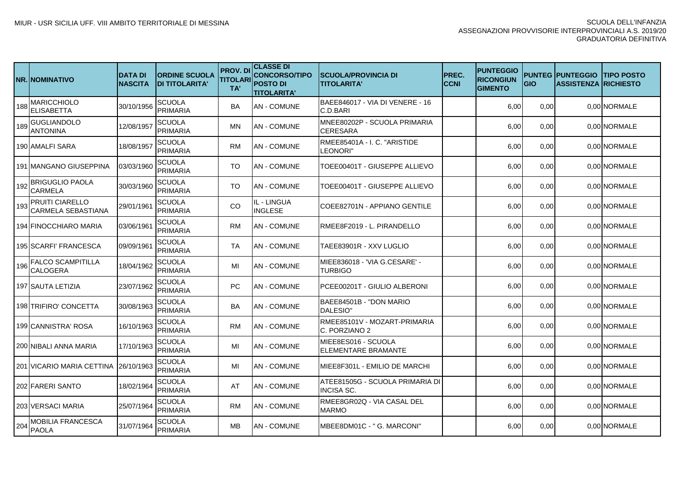|     | <b>NR.INOMINATIVO</b>                        | <b>DATA DI</b><br><b>NASCITA</b> | <b>ORDINE SCUOLA</b><br><b>DI TITOLARITA'</b> | <b>PROV. DI</b><br><b>TITOLARI</b><br>TA' | <b>CLASSE DI</b><br><b>CONCORSO/TIPO</b><br><b>POSTO DI</b><br><b>TITOLARITA'</b> | <b>SCUOLA/PROVINCIA DI</b><br><b>TITOLARITA'</b>     | <b>IPREC.</b><br><b>CCNI</b> | <b>PUNTEGGIO</b><br><b>RICONGIUN</b><br><b>GIMENTO</b> | <b>GIO</b> | <b>PUNTEG IPUNTEGGIO</b><br><b>ASSISTENZA RICHIESTO</b> | <b>ITIPO POSTO</b> |
|-----|----------------------------------------------|----------------------------------|-----------------------------------------------|-------------------------------------------|-----------------------------------------------------------------------------------|------------------------------------------------------|------------------------------|--------------------------------------------------------|------------|---------------------------------------------------------|--------------------|
| 188 | MARICCHIOLO<br><b>ELISABETTA</b>             | 30/10/1956                       | <b>SCUOLA</b><br><b>PRIMARIA</b>              | BA                                        | <b>AN - COMUNE</b>                                                                | BAEE846017 - VIA DI VENERE - 16<br>C.D.BARI          |                              | 6,00                                                   | 0,00       |                                                         | 0.00 NORMALE       |
| 189 | GUGLIANDOLO<br>ANTONINA                      | 12/08/1957                       | <b>SCUOLA</b><br>PRIMARIA                     | MN                                        | <b>AN - COMUNE</b>                                                                | MNEE80202P - SCUOLA PRIMARIA<br><b>CERESARA</b>      |                              | 6,00                                                   | 0,00       |                                                         | 0,00 NORMALE       |
|     | 190 AMALFI SARA                              | 18/08/1957                       | SCUOLA<br><b>PRIMARIA</b>                     | <b>RM</b>                                 | <b>AN - COMUNE</b>                                                                | RMEE85401A - I. C. "ARISTIDE<br>LEONORI"             |                              | 6,00                                                   | 0,00       |                                                         | 0.00 NORMALE       |
|     | 191 MANGANO GIUSEPPINA                       | 03/03/1960                       | SCUOLA<br><b>PRIMARIA</b>                     | TO                                        | <b>AN - COMUNE</b>                                                                | TOEE00401T - GIUSEPPE ALLIEVO                        |                              | 6,00                                                   | 0,00       |                                                         | 0.00 NORMALE       |
| 192 | <b>BRIGUGLIO PAOLA</b><br>CARMELA            | 30/03/1960                       | SCUOLA<br><b>PRIMARIA</b>                     | TO                                        | <b>AN - COMUNE</b>                                                                | TOEE00401T - GIUSEPPE ALLIEVO                        |                              | 6,00                                                   | 0,00       |                                                         | 0.00 NORMALE       |
| 193 | <b>PRUITI CIARELLO</b><br>CARMELA SEBASTIANA | 29/01/1961                       | <b>SCUOLA</b><br><b>PRIMARIA</b>              | CO                                        | IL - LINGUA<br><b>INGLESE</b>                                                     | COEE82701N - APPIANO GENTILE                         |                              | 6,00                                                   | 0,00       |                                                         | 0.00 NORMALE       |
|     | 194 FINOCCHIARO MARIA                        | 03/06/1961                       | <b>SCUOLA</b><br><b>PRIMARIA</b>              | <b>RM</b>                                 | <b>AN - COMUNE</b>                                                                | IRMEE8F2019 - L. PIRANDELLO                          |                              | 6.00                                                   | 0,00       |                                                         | 0.00 NORMALE       |
|     | 195 SCARFI' FRANCESCA                        | 09/09/1961                       | SCUOLA<br>PRIMARIA                            | TA                                        | <b>AN - COMUNE</b>                                                                | TAEE83901R - XXV LUGLIO                              |                              | 6,00                                                   | 0,00       |                                                         | 0,00 NORMALE       |
| 196 | <b>FALCO SCAMPITILLA</b><br>CALOGERA         | 18/04/1962                       | SCUOLA<br>PRIMARIA                            | MI                                        | <b>AN - COMUNE</b>                                                                | MIEE836018 - 'VIA G.CESARE' -<br><b>TURBIGO</b>      |                              | 6,00                                                   | 0,00       |                                                         | 0.00 NORMALE       |
|     | 197 SAUTA LETIZIA                            | 23/07/1962                       | SCUOLA<br>PRIMARIA                            | <b>PC</b>                                 | <b>AN - COMUNE</b>                                                                | PCEE00201T - GIULIO ALBERONI                         |                              | 6,00                                                   | 0,00       |                                                         | 0.00 NORMALE       |
|     | 198 TRIFIRO' CONCETTA                        | 30/08/1963                       | <b>SCUOLA</b><br>PRIMARIA                     | BA                                        | <b>AN - COMUNE</b>                                                                | BAEE84501B - "DON MARIO<br>DALESIO"                  |                              | 6,00                                                   | 0,00       |                                                         | 0.00 NORMALE       |
|     | 199 CANNISTRA' ROSA                          | 16/10/1963                       | <b>SCUOLA</b><br>PRIMARIA                     | <b>RM</b>                                 | <b>AN-COMUNE</b>                                                                  | RMEE85101V - MOZART-PRIMARIA<br>C. PORZIANO 2        |                              | 6,00                                                   | 0,00       |                                                         | 0,00 NORMALE       |
|     | 200 NIBALI ANNA MARIA                        | 17/10/1963                       | SCUOLA<br>PRIMARIA                            | MI                                        | <b>AN - COMUNE</b>                                                                | MIEE8ES016 - SCUOLA<br>ELEMENTARE BRAMANTE           |                              | 6,00                                                   | 0,00       |                                                         | 0,00 NORMALE       |
|     | 201   VICARIO MARIA CETTINA                  | 26/10/1963                       | SCUOLA<br>PRIMARIA                            | MI                                        | <b>AN - COMUNE</b>                                                                | IMIEE8F301L - EMILIO DE MARCHI                       |                              | 6,00                                                   | 0,00       |                                                         | 0,00 NORMALE       |
|     | 202 FARERI SANTO                             | 18/02/1964                       | SCUOLA<br>PRIMARIA                            | AT                                        | <b>AN - COMUNE</b>                                                                | ATEE81505G - SCUOLA PRIMARIA DI<br><b>INCISA SC.</b> |                              | 6,00                                                   | 0,00       |                                                         | 0.00 NORMALE       |
|     | 203 IVERSACI MARIA                           | 25/07/1964                       | <b>SCUOLA</b><br>PRIMARIA                     | <b>RM</b>                                 | <b>AN - COMUNE</b>                                                                | RMEE8GR02Q - VIA CASAL DEL<br><b>MARMO</b>           |                              | 6,00                                                   | 0,00       |                                                         | 0.00 NORMALE       |
| 204 | MOBILIA FRANCESCA<br><b>PAOLA</b>            | 31/07/1964                       | SCUOLA<br>PRIMARIA                            | MВ                                        | <b>AN - COMUNE</b>                                                                | IMBEE8DM01C - " G. MARCONI"                          |                              | 6,00                                                   | 0,00       |                                                         | 0.00 NORMALE       |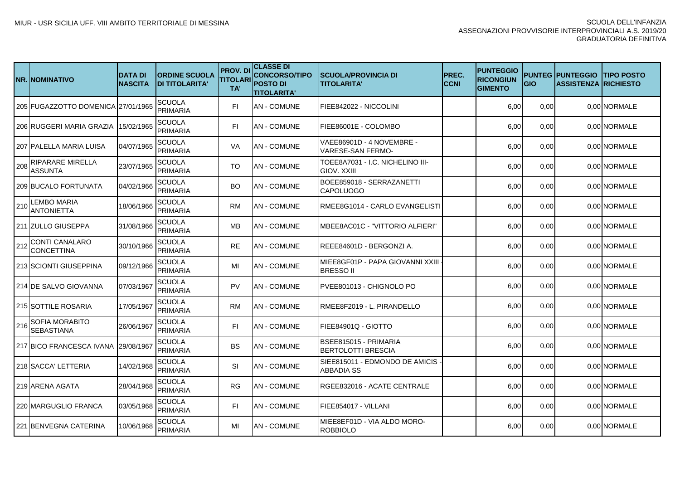|     | <b>NR.INOMINATIVO</b>                      | <b>DATA DI</b><br><b>NASCITA</b> | <b>ORDINE SCUOLA</b><br><b>DI TITOLARITA'</b> | <b>PROV.DI</b><br><b>TITOLARI</b><br>TA' | <b>CLASSE DI</b><br><b>CONCORSO/TIPO</b><br><b>POSTO DI</b><br><b>TITOLARITA'</b> | <b>ISCUOLA/PROVINCIA DI</b><br><b>TITOLARITA'</b>     | <b>IPREC.</b><br><b>CCNI</b> | <b>PUNTEGGIO</b><br><b>RICONGIUN</b><br><b>GIMENTO</b> | <b>GIO</b> | <b>PUNTEG IPUNTEGGIO</b><br><b>ASSISTENZA RICHIESTO</b> | <b>ITIPO POSTO</b> |
|-----|--------------------------------------------|----------------------------------|-----------------------------------------------|------------------------------------------|-----------------------------------------------------------------------------------|-------------------------------------------------------|------------------------------|--------------------------------------------------------|------------|---------------------------------------------------------|--------------------|
|     | 205 FUGAZZOTTO DOMENICA   27/01/1965       |                                  | SCUOLA<br><b>PRIMARIA</b>                     | FI.                                      | <b>AN - COMUNE</b>                                                                | FIEE842022 - NICCOLINI                                |                              | 6,00                                                   | 0,00       |                                                         | 0,00 NORMALE       |
|     | 206 RUGGERI MARIA GRAZIA                   | 15/02/1965                       | <b>SCUOLA</b><br><b>PRIMARIA</b>              | FI.                                      | <b>AN - COMUNE</b>                                                                | FIEE86001E - COLOMBO                                  |                              | 6,00                                                   | 0,00       |                                                         | 0.00 NORMALE       |
|     | 207 IPALELLA MARIA LUISA                   | 04/07/1965                       | <b>SCUOLA</b><br><b>PRIMARIA</b>              | VA                                       | <b>AN - COMUNE</b>                                                                | VAEE86901D - 4 NOVEMBRE -<br><b>VARESE-SAN FERMO-</b> |                              | 6,00                                                   | 0,00       |                                                         | 0.00 NORMALE       |
| 208 | <b>RIPARARE MIRELLA</b><br>ASSUNTA         | 23/07/1965                       | <b>SCUOLA</b><br><b>PRIMARIA</b>              | TO                                       | <b>AN - COMUNE</b>                                                                | TOEE8A7031 - I.C. NICHELINO III-<br>GIOV. XXIII       |                              | 6.00                                                   | 0.00       |                                                         | 0.00 NORMALE       |
|     | 209 BUCALO FORTUNATA                       | 04/02/1966                       | <b>SCUOLA</b><br><b>PRIMARIA</b>              | BO                                       | <b>AN - COMUNE</b>                                                                | BOEE859018 - SERRAZANETTI<br><b>CAPOLUOGO</b>         |                              | 6,00                                                   | 0,00       |                                                         | 0.00 NORMALE       |
| 210 | <b>LEMBO MARIA</b><br><b>ANTONIETTA</b>    | 18/06/1966                       | SCUOLA<br>PRIMARIA                            | <b>RM</b>                                | <b>AN - COMUNE</b>                                                                | RMEE8G1014 - CARLO EVANGELISTI                        |                              | 6,00                                                   | 0,00       |                                                         | 0.00 NORMALE       |
|     | 211 ZULLO GIUSEPPA                         | 31/08/1966                       | SCUOLA<br>PRIMARIA                            | MВ                                       | <b>AN - COMUNE</b>                                                                | MBEE8AC01C - "VITTORIO ALFIERI"                       |                              | 6,00                                                   | 0,00       |                                                         | 0.00 NORMALE       |
| 212 | <b>CONTI CANALARO</b><br>CONCETTINA        | 30/10/1966                       | SCUOLA<br>PRIMARIA                            | <b>RE</b>                                | <b>AN - COMUNE</b>                                                                | REEE84601D - BERGONZI A.                              |                              | 6,00                                                   | 0,00       |                                                         | 0.00 NORMALE       |
|     | 213 ISCIONTI GIUSEPPINA                    | 09/12/1966                       | SCUOLA<br>PRIMARIA                            | MI                                       | <b>AN - COMUNE</b>                                                                | MIEE8GF01P - PAPA GIOVANNI XXIII<br><b>BRESSO II</b>  |                              | 6,00                                                   | 0,00       |                                                         | 0.00 NORMALE       |
|     | 214 DE SALVO GIOVANNA                      | 07/03/1967                       | <b>SCUOLA</b><br>PRIMARIA                     | PV                                       | <b>AN - COMUNE</b>                                                                | IPVEE801013 - CHIGNOLO PO                             |                              | 6,00                                                   | 0,00       |                                                         | 0.00 NORMALE       |
|     | 215 SOTTILE ROSARIA                        | 17/05/1967                       | SCUOLA<br>PRIMARIA                            | <b>RM</b>                                | <b>AN-COMUNE</b>                                                                  | RMEE8F2019 - L. PIRANDELLO                            |                              | 6,00                                                   | 0,00       |                                                         | 0,00 NORMALE       |
| 216 | <b>SOFIA MORABITO</b><br><b>SEBASTIANA</b> | 26/06/1967                       | SCUOLA<br>PRIMARIA                            | FI.                                      | <b>AN-COMUNE</b>                                                                  | FIEE84901Q - GIOTTO                                   |                              | 6,00                                                   | 0,00       |                                                         | 0,00 NORMALE       |
|     | 217 BICO FRANCESCA IVANA 29/08/1967        |                                  | SCUOLA<br><b>PRIMARIA</b>                     | <b>BS</b>                                | <b>AN - COMUNE</b>                                                                | BSEE815015 - PRIMARIA<br><b>BERTOLOTTI BRESCIA</b>    |                              | 6,00                                                   | 0,00       |                                                         | 0,00 NORMALE       |
|     | 218 ISACCA' LETTERIA                       | 14/02/1968                       | <b>SCUOLA</b><br>PRIMARIA                     | SI                                       | <b>AN - COMUNE</b>                                                                | SIEE815011 - EDMONDO DE AMICIS<br>ABBADIA SS          |                              | 6,00                                                   | 0,00       |                                                         | 0.00 NORMALE       |
|     | 219 ARENA AGATA                            | 28/04/1968                       | SCUOLA<br>PRIMARIA                            | <b>RG</b>                                | <b>AN - COMUNE</b>                                                                | RGEE832016 - ACATE CENTRALE                           |                              | 6,00                                                   | 0,00       |                                                         | 0.00 NORMALE       |
|     | 220 IMARGUGLIO FRANCA                      | 03/05/1968                       | SCUOLA<br><b>PRIMARIA</b>                     | FI.                                      | <b>AN - COMUNE</b>                                                                | FIEE854017 - VILLANI                                  |                              | 6,00                                                   | 0,00       |                                                         | 0.00 NORMALE       |
|     | 221 BENVEGNA CATERINA                      | 10/06/1968                       | SCUOLA<br>PRIMARIA                            | MI                                       | <b>AN - COMUNE</b>                                                                | MIEE8EF01D - VIA ALDO MORO-<br><b>ROBBIOLO</b>        |                              | 6,00                                                   | 0,00       |                                                         | 0.00 NORMALE       |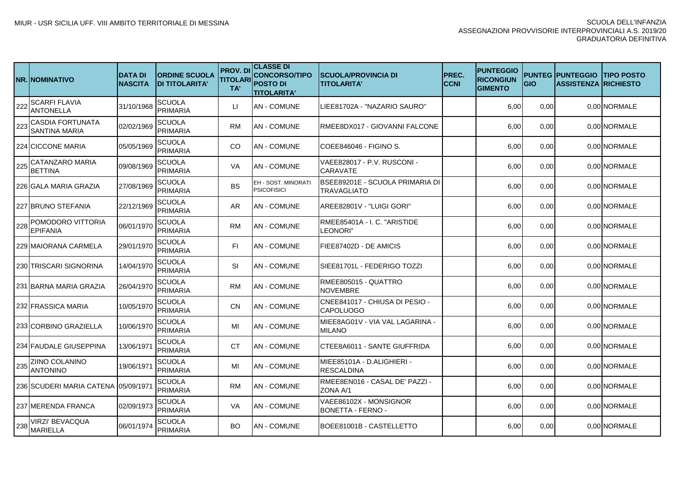|     | <b>NR.INOMINATIVO</b>                    | <b>DATA DI</b><br><b>NASCITA</b> | <b>ORDINE SCUOLA</b><br><b>DI TITOLARITA'</b> | <b>PROV. DI</b><br><b>TITOLARI</b><br>TA' | <b>CLASSE DI</b><br><b>CONCORSO/TIPO</b><br><b>POSTO DI</b><br><b>TITOLARITA'</b> | <b>ISCUOLA/PROVINCIA DI</b><br><b>TITOLARITA'</b>  | <b>IPREC.</b><br>ICCNI | <b>PUNTEGGIO</b><br><b>RICONGIUN</b><br><b>GIMENTO</b> | <b>GIO</b> | <b>PUNTEG IPUNTEGGIO</b><br><b>ASSISTENZA RICHIESTO</b> | <b>ITIPO POSTO</b> |
|-----|------------------------------------------|----------------------------------|-----------------------------------------------|-------------------------------------------|-----------------------------------------------------------------------------------|----------------------------------------------------|------------------------|--------------------------------------------------------|------------|---------------------------------------------------------|--------------------|
| 222 | <b>SCARFI FLAVIA</b><br>ANTONELLA        | 31/10/1968                       | <b>SCUOLA</b><br><b>PRIMARIA</b>              | LI.                                       | <b>AN - COMUNE</b>                                                                | LIEE81702A - "NAZARIO SAURO"                       |                        | 6,00                                                   | 0,00       |                                                         | 0.00 NORMALE       |
| 223 | <b>CASDIA FORTUNATA</b><br>SANTINA MARIA | 02/02/1969                       | <b>SCUOLA</b><br>PRIMARIA                     | <b>RM</b>                                 | IAN - COMUNE                                                                      | RMEE8DX017 - GIOVANNI FALCONE                      |                        | 6,00                                                   | 0,00       |                                                         | 0,00 NORMALE       |
|     | 224ICICCONE MARIA                        | 05/05/1969                       | <b>SCUOLA</b><br><b>PRIMARIA</b>              | CO                                        | <b>AN - COMUNE</b>                                                                | COEE846046 - FIGINO S.                             |                        | 6,00                                                   | 0,00       |                                                         | 0.00 NORMALE       |
| 225 | CATANZARO MARIA<br><b>BETTINA</b>        | 09/08/1969                       | SCUOLA<br><b>PRIMARIA</b>                     | VA                                        | <b>AN-COMUNE</b>                                                                  | VAEE828017 - P.V. RUSCONI -<br><b>CARAVATE</b>     |                        | 6,00                                                   | 0,00       |                                                         | 0.00 NORMALE       |
|     | 226   GALA MARIA GRAZIA                  | 27/08/1969                       | SCUOLA<br><b>PRIMARIA</b>                     | <b>BS</b>                                 | EH - SOST. MINORAT<br><b>PSICOFISICI</b>                                          | BSEE89201E - SCUOLA PRIMARIA DI<br>TRAVAGLIATO     |                        | 6,00                                                   | 0,00       |                                                         | 0.00 NORMALE       |
|     | 227 IBRUNO STEFANIA                      | 22/12/1969                       | SCUOLA<br><b>PRIMARIA</b>                     | AR                                        | IAN - COMUNE                                                                      | AREE82801V - "LUIGI GORI"                          |                        | 6,00                                                   | 0,00       |                                                         | 0.00 NORMALE       |
| 228 | POMODORO VITTORIA<br><b>EPIFANIA</b>     | 06/01/1970                       | <b>SCUOLA</b><br><b>PRIMARIA</b>              | <b>RM</b>                                 | <b>AN - COMUNE</b>                                                                | RMEE85401A - I. C. "ARISTIDE<br>LEONORI"           |                        | 6,00                                                   | 0,00       |                                                         | 0.00 NORMALE       |
|     | 229 MAIORANA CARMELA                     | 29/01/1970                       | <b>SCUOLA</b><br><b>PRIMARIA</b>              | FI.                                       | <b>AN - COMUNE</b>                                                                | FIEE87402D - DE AMICIS                             |                        | 6,00                                                   | 0,00       |                                                         | 0,00 NORMALE       |
|     | 230 ITRISCARI SIGNORINA                  | 14/04/1970                       | <b>SCUOLA</b><br>PRIMARIA                     | SI                                        | <b>AN - COMUNE</b>                                                                | SIEE81701L - FEDERIGO TOZZI                        |                        | 6,00                                                   | 0,00       |                                                         | 0.00 NORMALE       |
|     | 231 BARNA MARIA GRAZIA                   | 26/04/1970                       | <b>SCUOLA</b><br>PRIMARIA                     | <b>RM</b>                                 | <b>AN - COMUNE</b>                                                                | RMEE805015 - QUATTRO<br><b>NOVEMBRE</b>            |                        | 6,00                                                   | 0,00       |                                                         | 0.00 NORMALE       |
|     | 232 FRASSICA MARIA                       | 10/05/1970                       | <b>SCUOLA</b><br>PRIMARIA                     | <b>CN</b>                                 | <b>AN - COMUNE</b>                                                                | CNEE841017 - CHIUSA DI PESIO -<br><b>CAPOLUOGO</b> |                        | 6,00                                                   | 0,00       |                                                         | 0.00 NORMALE       |
|     | 233   CORBINO GRAZIELLA                  | 10/06/1970                       | <b>SCUOLA</b><br>PRIMARIA                     | MI                                        | <b>AN-COMUNE</b>                                                                  | MIEE8AG01V - VIA VAL LAGARINA -<br><b>MILANO</b>   |                        | 6,00                                                   | 0,00       |                                                         | 0,00 NORMALE       |
|     | 234 FAUDALE GIUSEPPINA                   | 13/06/1971                       | SCUOLA<br>PRIMARIA                            | <b>CT</b>                                 | <b>AN - COMUNE</b>                                                                | CTEE8A6011 - SANTE GIUFFRIDA                       |                        | 6,00                                                   | 0,00       |                                                         | 0,00 NORMALE       |
| 235 | ZIINO COLANINO<br><b>ANTONINO</b>        | 19/06/1971                       | SCUOLA<br>PRIMARIA                            | MI                                        | <b>AN - COMUNE</b>                                                                | MIEE85101A - D.ALIGHIERI -<br><b>RESCALDINA</b>    |                        | 6,00                                                   | 0,00       |                                                         | 0,00 NORMALE       |
|     | 236 SCUDERI MARIA CATENA 105/09/1971     |                                  | SCUOLA<br><b>PRIMARIA</b>                     | <b>RM</b>                                 | <b>AN - COMUNE</b>                                                                | RMEE8EN016 - CASAL DE' PAZZI -<br>ZONA A/1         |                        | 6,00                                                   | 0,00       |                                                         | 0.00 NORMALE       |
|     | 237 IMERENDA FRANCA                      | 02/09/1973                       | <b>SCUOLA</b><br>PRIMARIA                     | VA                                        | <b>AN - COMUNE</b>                                                                | VAEE86102X - MONSIGNOR<br><b>BONETTA - FERNO -</b> |                        | 6,00                                                   | 0,00       |                                                         | 0.00 NORMALE       |
| 238 | VIRZI' BEVACQUA<br><b>MARIELLA</b>       | 06/01/1974                       | SCUOLA<br>PRIMARIA                            | BO.                                       | <b>AN - COMUNE</b>                                                                | BOEE81001B - CASTELLETTO                           |                        | 6,00                                                   | 0,00       |                                                         | 0.00 NORMALE       |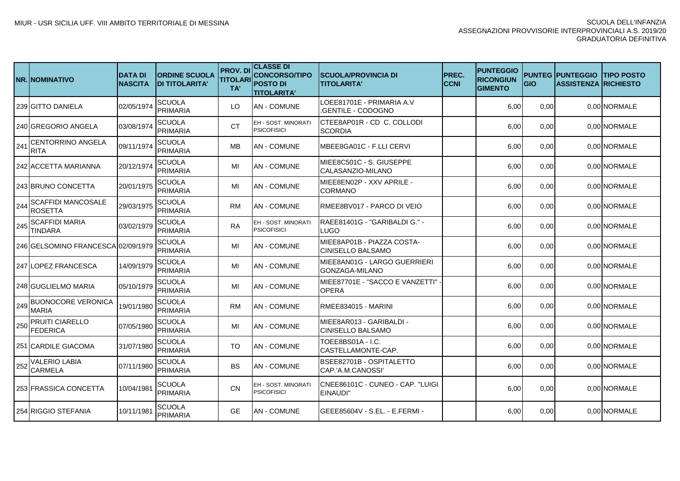|     | <b>NR.INOMINATIVO</b>                       | <b>DATA DI</b><br><b>NASCITA</b> | <b>ORDINE SCUOLA</b><br><b>DI TITOLARITA'</b> | <b>PROV.DI</b><br><b>TITOLARI</b><br>TA' | <b>CLASSE DI</b><br><b>CONCORSO/TIPO</b><br><b>POSTO DI</b><br><b>TITOLARITA'</b> | <b>ISCUOLA/PROVINCIA DI</b><br><b>TITOLARITA'</b>    | PREC.<br><b>CCNI</b> | <b>PUNTEGGIO</b><br><b>RICONGIUN</b><br><b>GIMENTO</b> | <b>GIO</b> | <b>PUNTEG PUNTEGGIO</b><br><b>ASSISTENZA RICHIESTO</b> | <b>TIPO POSTO</b> |
|-----|---------------------------------------------|----------------------------------|-----------------------------------------------|------------------------------------------|-----------------------------------------------------------------------------------|------------------------------------------------------|----------------------|--------------------------------------------------------|------------|--------------------------------------------------------|-------------------|
|     | 239 GITTO DANIELA                           | 02/05/1974                       | <b>SCUOLA</b><br><b>PRIMARIA</b>              | LO                                       | <b>AN - COMUNE</b>                                                                | LOEE81701E - PRIMARIA A.V<br>GENTILE - CODOGNO.      |                      | 6,00                                                   | 0.00       |                                                        | 0,00 NORMALE      |
|     | 240 IGREGORIO ANGELA                        | 03/08/1974                       | <b>SCUOLA</b><br><b>PRIMARIA</b>              | <b>CT</b>                                | EH - SOST. MINORATI<br><b>PSICOFISICI</b>                                         | ICTEE8AP01R - CD C. COLLODI<br><b>SCORDIA</b>        |                      | 6,00                                                   | 0,00       |                                                        | 0.00 NORMALE      |
| 241 | CENTORRINO ANGELA<br><b>RITA</b>            | 09/11/1974                       | <b>SCUOLA</b><br>PRIMARIA                     | MВ                                       | <b>AN - COMUNE</b>                                                                | MBEE8GA01C - F.LLI CERVI                             |                      | 6,00                                                   | 0.00       |                                                        | 0,00 NORMALE      |
|     | 242 IACCETTA MARIANNA                       | 20/12/1974                       | <b>SCUOLA</b><br><b>PRIMARIA</b>              | MI                                       | <b>AN - COMUNE</b>                                                                | MIEE8C501C - S. GIUSEPPE<br>CALASANZIO-MILANO        |                      | 6,00                                                   | 0.00       |                                                        | 0.00 NORMALE      |
|     | 243 BRUNO CONCETTA                          | 20/01/1975                       | <b>SCUOLA</b><br><b>PRIMARIA</b>              | MI                                       | <b>AN - COMUNE</b>                                                                | MIEE8EN02P - XXV APRILE -<br><b>CORMANO</b>          |                      | 6,00                                                   | 0.00       |                                                        | 0.00 NORMALE      |
| 244 | <b>SCAFFIDI MANCOSALE</b><br><b>ROSETTA</b> | 29/03/1975                       | <b>SCUOLA</b><br><b>PRIMARIA</b>              | <b>RM</b>                                | <b>AN - COMUNE</b>                                                                | RMEE8BV017 - PARCO DI VEIO                           |                      | 6,00                                                   | 0,00       |                                                        | 0,00 NORMALE      |
| 245 | <b>SCAFFIDI MARIA</b><br><b>TINDARA</b>     | 03/02/1979                       | <b>SCUOLA</b><br><b>PRIMARIA</b>              | <b>RA</b>                                | EH - SOST. MINORATI<br><b>PSICOFISICI</b>                                         | RAEE81401G - "GARIBALDI G." -<br>LUGO                |                      | 6,00                                                   | 0,00       |                                                        | 0.00 NORMALE      |
|     | 246 GELSOMINO FRANCESCA 02/09/1979          |                                  | SCUOLA<br><b>PRIMARIA</b>                     | MI                                       | <b>AN - COMUNE</b>                                                                | MIEE8AP01B - PIAZZA COSTA-<br>ICINISELLO BALSAMO     |                      | 6,00                                                   | 0,00       |                                                        | 0,00 NORMALE      |
|     | 247 LOPEZ FRANCESCA                         | 14/09/1979                       | <b>SCUOLA</b><br><b>PRIMARIA</b>              | MI                                       | <b>AN-COMUNE</b>                                                                  | MIEE8AN01G - LARGO GUERRIERI<br>GONZAGA-MILANO       |                      | 6,00                                                   | 0,00       |                                                        | 0.00 NORMALE      |
|     | 248 GUGLIELMO MARIA                         | 05/10/1979                       | SCUOLA<br>PRIMARIA                            | MI                                       | <b>AN - COMUNE</b>                                                                | MIEE87701E - "SACCO E VANZETTI"<br><b>OPERA</b>      |                      | 6,00                                                   | 0,00       |                                                        | 0,00 NORMALE      |
| 249 | <b>BUONOCORE VERONICA</b><br><b>MARIA</b>   | 19/01/1980                       | <b>SCUOLA</b><br>PRIMARIA                     | <b>RM</b>                                | <b>AN - COMUNE</b>                                                                | RMEE834015 - MARINI                                  |                      | 6,00                                                   | 0,00       |                                                        | 0,00 NORMALE      |
| 250 | <b>PRUITI CIARELLO</b><br><b>FEDERICA</b>   | 07/05/1980                       | <b>SCUOLA</b><br><b>PRIMARIA</b>              | MI                                       | <b>AN - COMUNE</b>                                                                | MIEE8AR013 - GARIBALDI -<br><b>CINISELLO BALSAMO</b> |                      | 6.00                                                   | 0,00       |                                                        | 0.00 NORMALE      |
|     | 251 CARDILE GIACOMA                         | 31/07/1980                       | <b>SCUOLA</b><br>PRIMARIA                     | TO                                       | <b>AN - COMUNE</b>                                                                | TOEE8BS01A - I.C.<br>ICASTELLAMONTE-CAP.             |                      | 6,00                                                   | 0,00       |                                                        | 0,00 NORMALE      |
| 252 | <b>VALERIO LABIA</b><br><b>CARMELA</b>      | 07/11/1980                       | <b>SCUOLA</b><br><b>PRIMARIA</b>              | <b>BS</b>                                | <b>AN - COMUNE</b>                                                                | BSEE82701B - OSPITALETTO<br>CAP.'A.M.CANOSSI'        |                      | 6,00                                                   | 0,00       |                                                        | 0,00 NORMALE      |
|     | 253 FRASSICA CONCETTA                       | 10/04/1981                       | <b>SCUOLA</b><br><b>PRIMARIA</b>              | <b>CN</b>                                | EH - SOST. MINORATI<br><b>PSICOFISICI</b>                                         | ICNEE86101C - CUNEO - CAP. "LUIGI<br>EINAUDI"        |                      | 6,00                                                   | 0.00       |                                                        | 0,00 NORMALE      |
|     | 254 RIGGIO STEFANIA                         | 10/11/1981                       | <b>SCUOLA</b><br><b>PRIMARIA</b>              | <b>GE</b>                                | <b>AN - COMUNE</b>                                                                | IGEEE85604V - S.EL. - E.FERMI -                      |                      | 6,00                                                   | 0,00       |                                                        | 0,00 NORMALE      |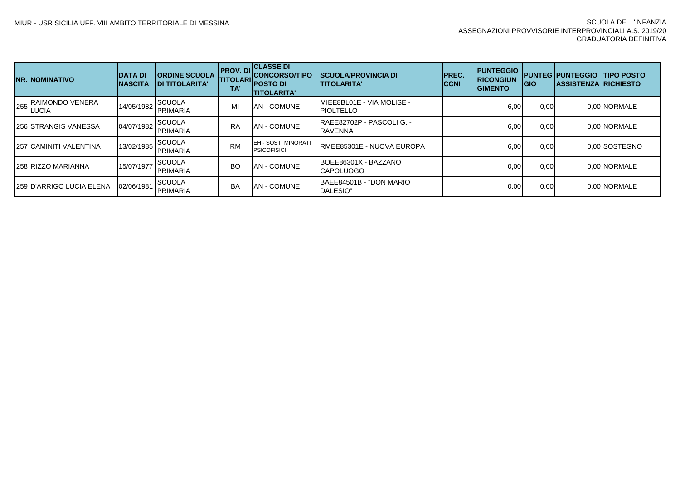| <b>INR. INOMINATIVO</b>                | <b>IDATA DI</b><br><b>INASCITA</b> | <b>IORDINE SCUOLA</b><br><b>IDI TITOLARITA'</b> | <b>PROV.DI</b><br><b>TITOLARI</b><br>TA' | <b>CLASSE DI</b><br><b>CONCORSO/TIPO</b><br><b>POSTO DI</b><br><b>ITITOLARITA'</b> | <b>ISCUOLA/PROVINCIA DI</b><br><b>ITITOLARITA'</b>     | <b>IPREC.</b><br><b>CCNI</b> | <b>PUNTEGGIO</b><br><b>RICONGIUN</b><br><b>GIMENTO</b> | <b>IGIO</b> | <b>PUNTEG PUNTEGGIO</b><br><b>IASSISTENZA IRICHIESTO</b> | <b>ITIPO POSTO</b> |
|----------------------------------------|------------------------------------|-------------------------------------------------|------------------------------------------|------------------------------------------------------------------------------------|--------------------------------------------------------|------------------------------|--------------------------------------------------------|-------------|----------------------------------------------------------|--------------------|
| <b>IRAIMONDO VENERA</b><br>$255$ UUCIA | 14/05/1982                         | <b>SCUOLA</b><br><b>PRIMARIA</b>                | MI                                       | AN - COMUNE                                                                        | <b>IMIEE8BL01E - VIA MOLISE -</b><br><b>IPIOLTELLO</b> |                              | 6,00                                                   | 0.00        |                                                          | 0.00 NORMALE       |
| 256 STRANGIS VANESSA                   | 04/07/1982                         | <b>SCUOLA</b><br>PRIMARIA                       | <b>RA</b>                                | AN - COMUNE                                                                        | RAEE82702P - PASCOLI G. -<br><b>RAVENNA</b>            |                              | 6,00                                                   | 0.00        |                                                          | 0.00 NORMALE       |
| 257 CAMINITI VALENTINA                 | 13/02/1985                         | <b>SCUOLA</b><br><b>PRIMARIA</b>                | <b>RM</b>                                | EH - SOST. MINORATI<br><b>PSICOFISICI</b>                                          | <b>IRMEE85301E - NUOVA EUROPA</b>                      |                              | 6,00                                                   | 0.00        |                                                          | 0.00 SOSTEGNO      |
| 258 RIZZO MARIANNA                     | 15/07/1977                         | <b>SCUOLA</b><br><b>PRIMARIA</b>                | <b>BO</b>                                | <b>AN - COMUNE</b>                                                                 | BOEE86301X - BAZZANO<br><b>CAPOLUOGO</b>               |                              | 0,00                                                   | 0.00        |                                                          | 0.00 NORMALE       |
| 259 D'ARRIGO LUCIA ELENA               | 02/06/1981                         | <b>SCUOLA</b><br><b>PRIMARIA</b>                | <b>BA</b>                                | AN - COMUNE                                                                        | BAEE84501B - "DON MARIO<br>DALESIO"                    |                              | 0,00                                                   | 0.00        |                                                          | 0.00 NORMALE       |